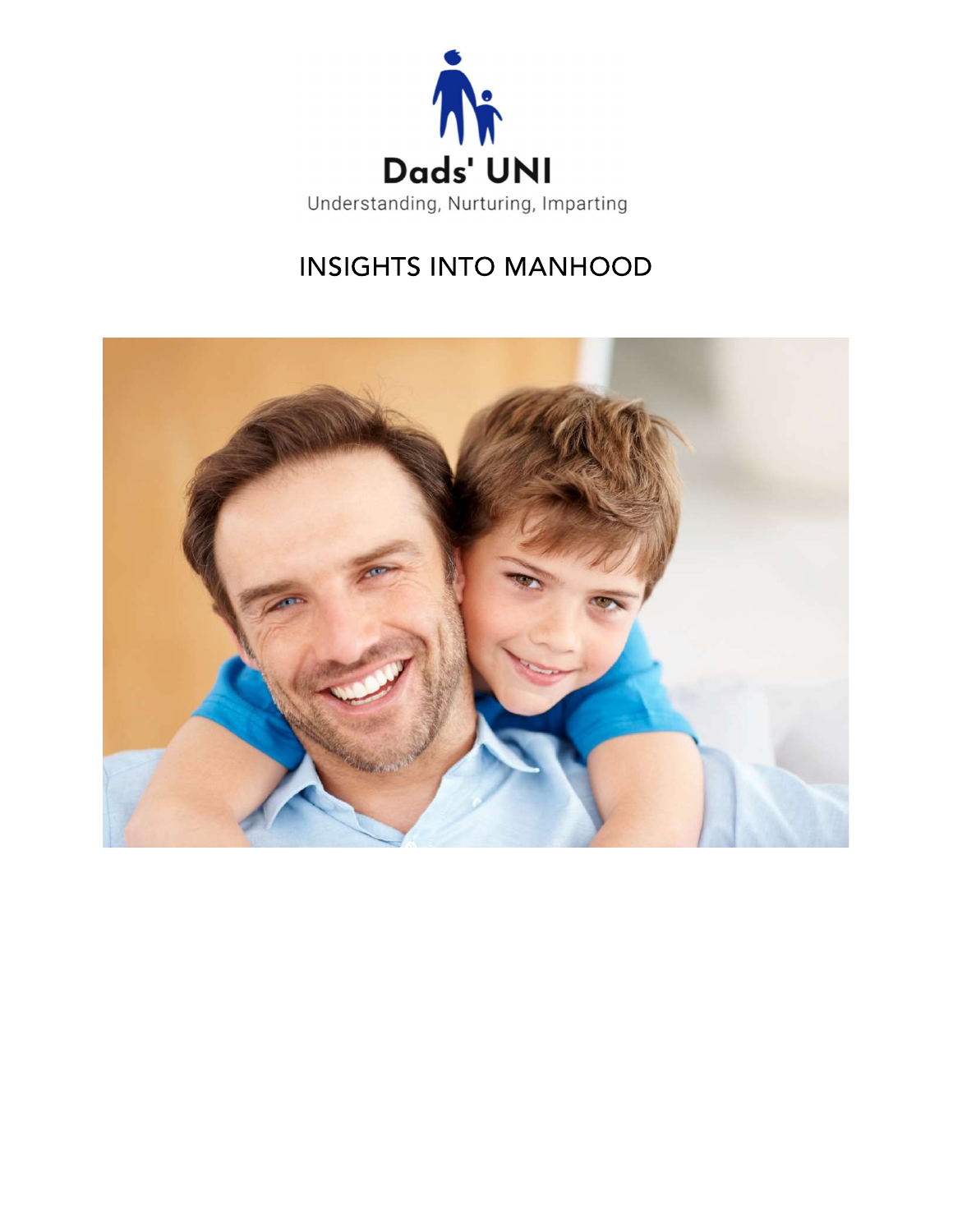

# **INSIGHTS INTO MANHOOD**

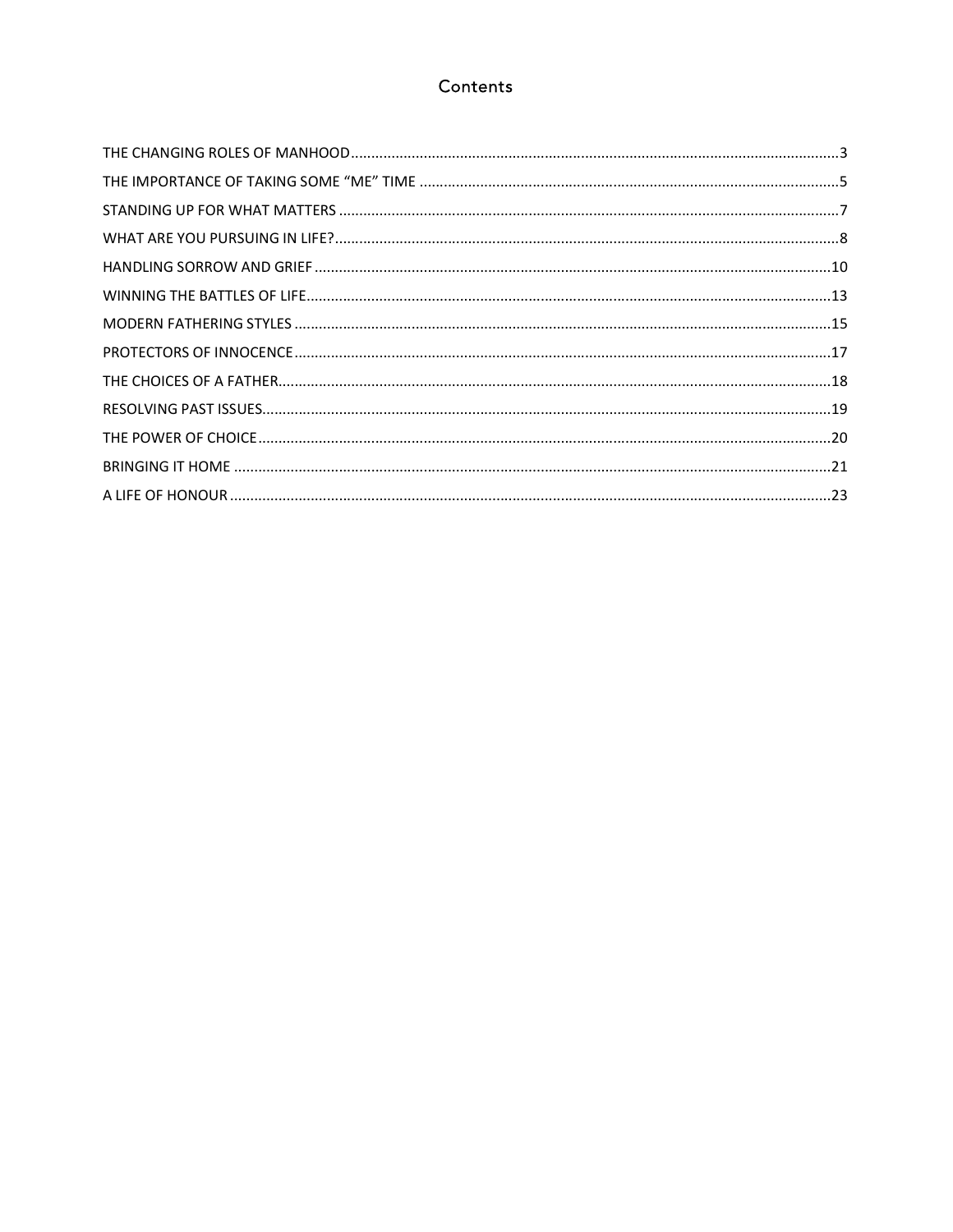### Contents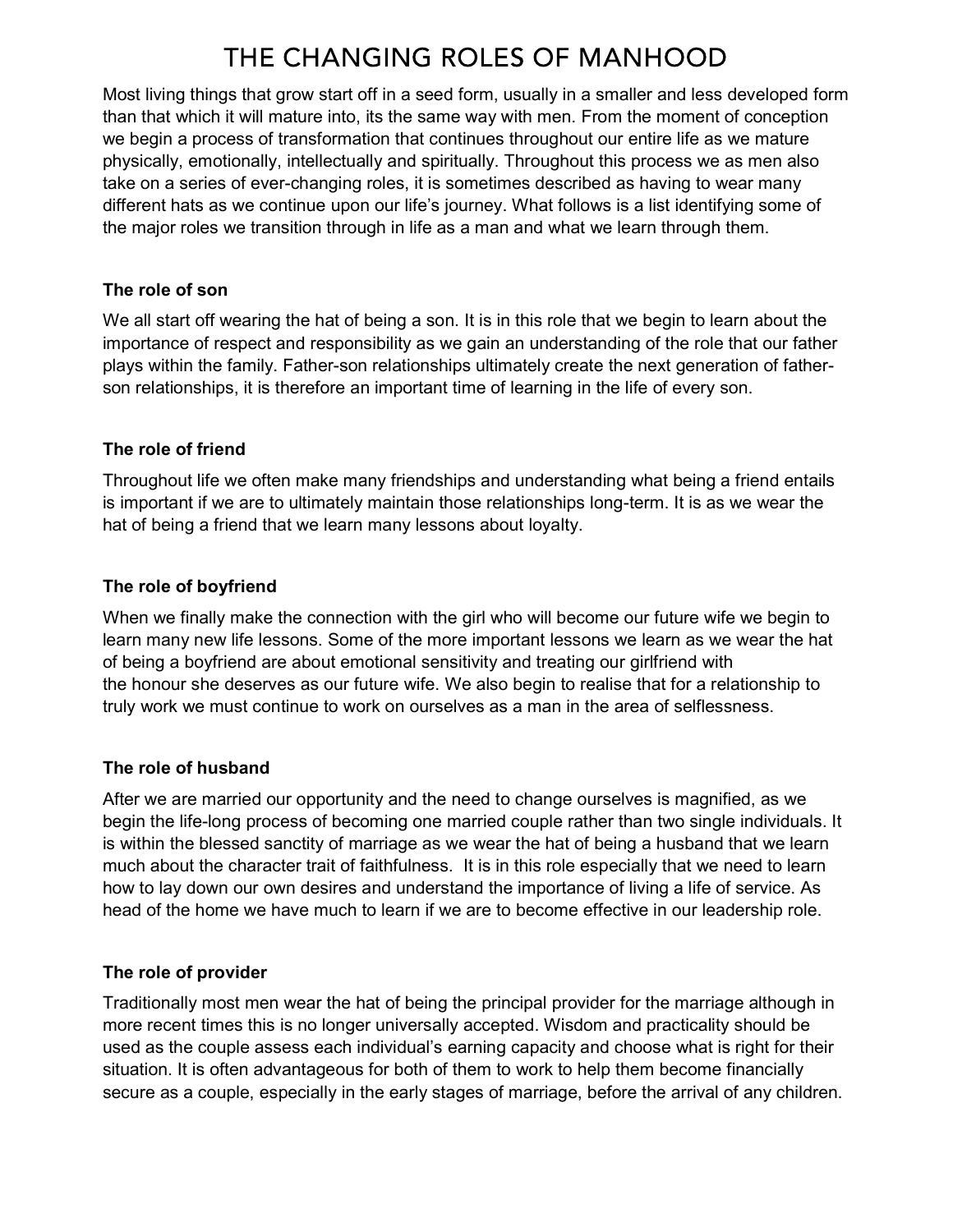# THE CHANGING ROLES OF MANHOOD

Most living things that grow start off in a seed form, usually in a smaller and less developed form than that which it will mature into, its the same way with men. From the moment of conception we begin a process of transformation that continues throughout our entire life as we mature physically, emotionally, intellectually and spiritually. Throughout this process we as men also take on a series of ever-changing roles, it is sometimes described as having to wear many different hats as we continue upon our life's journey. What follows is a list identifying some of the major roles we transition through in life as a man and what we learn through them.

#### The role of son

We all start off wearing the hat of being a son. It is in this role that we begin to learn about the importance of respect and responsibility as we gain an understanding of the role that our father plays within the family. Father-son relationships ultimately create the next generation of fatherson relationships, it is therefore an important time of learning in the life of every son.

#### The role of friend

Throughout life we often make many friendships and understanding what being a friend entails is important if we are to ultimately maintain those relationships long-term. It is as we wear the hat of being a friend that we learn many lessons about loyalty.

#### The role of boyfriend

When we finally make the connection with the girl who will become our future wife we begin to learn many new life lessons. Some of the more important lessons we learn as we wear the hat of being a boyfriend are about emotional sensitivity and treating our girlfriend with the honour she deserves as our future wife. We also begin to realise that for a relationship to truly work we must continue to work on ourselves as a man in the area of selflessness.

#### The role of husband

After we are married our opportunity and the need to change ourselves is magnified, as we begin the life-long process of becoming one married couple rather than two single individuals. It is within the blessed sanctity of marriage as we wear the hat of being a husband that we learn much about the character trait of faithfulness. It is in this role especially that we need to learn how to lay down our own desires and understand the importance of living a life of service. As head of the home we have much to learn if we are to become effective in our leadership role.

#### The role of provider

Traditionally most men wear the hat of being the principal provider for the marriage although in more recent times this is no longer universally accepted. Wisdom and practicality should be used as the couple assess each individual's earning capacity and choose what is right for their situation. It is often advantageous for both of them to work to help them become financially secure as a couple, especially in the early stages of marriage, before the arrival of any children.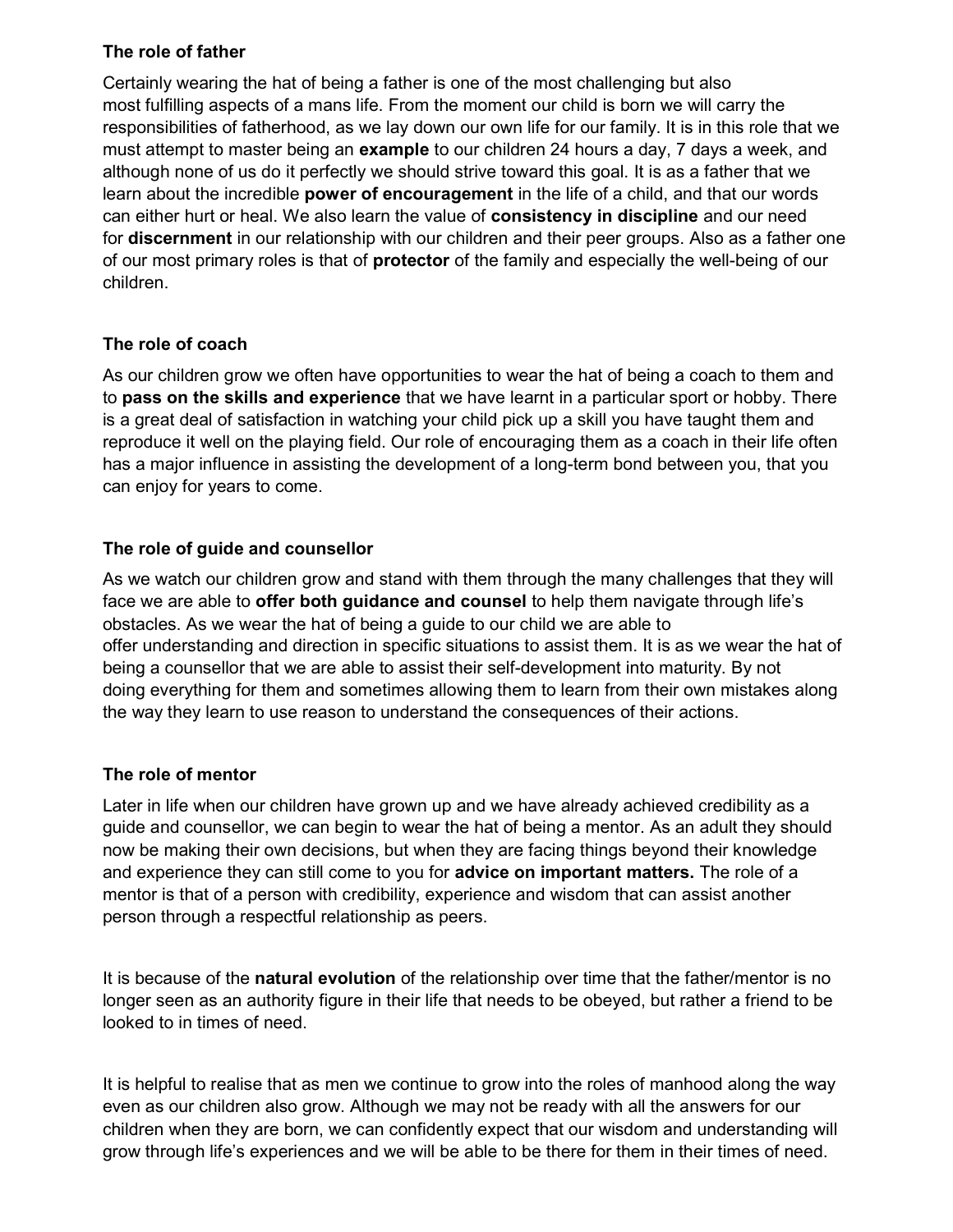#### The role of father

Certainly wearing the hat of being a father is one of the most challenging but also most fulfilling aspects of a mans life. From the moment our child is born we will carry the responsibilities of fatherhood, as we lay down our own life for our family. It is in this role that we must attempt to master being an example to our children 24 hours a day, 7 days a week, and although none of us do it perfectly we should strive toward this goal. It is as a father that we learn about the incredible power of encouragement in the life of a child, and that our words can either hurt or heal. We also learn the value of consistency in discipline and our need for **discernment** in our relationship with our children and their peer groups. Also as a father one of our most primary roles is that of **protector** of the family and especially the well-being of our children.

### The role of coach

As our children grow we often have opportunities to wear the hat of being a coach to them and to pass on the skills and experience that we have learnt in a particular sport or hobby. There is a great deal of satisfaction in watching your child pick up a skill you have taught them and reproduce it well on the playing field. Our role of encouraging them as a coach in their life often has a major influence in assisting the development of a long-term bond between you, that you can enjoy for years to come.

## The role of guide and counsellor

As we watch our children grow and stand with them through the many challenges that they will face we are able to offer both guidance and counsel to help them navigate through life's obstacles. As we wear the hat of being a guide to our child we are able to offer understanding and direction in specific situations to assist them. It is as we wear the hat of being a counsellor that we are able to assist their self-development into maturity. By not doing everything for them and sometimes allowing them to learn from their own mistakes along the way they learn to use reason to understand the consequences of their actions.

## The role of mentor

Later in life when our children have grown up and we have already achieved credibility as a guide and counsellor, we can begin to wear the hat of being a mentor. As an adult they should now be making their own decisions, but when they are facing things beyond their knowledge and experience they can still come to you for advice on important matters. The role of a mentor is that of a person with credibility, experience and wisdom that can assist another person through a respectful relationship as peers.

It is because of the natural evolution of the relationship over time that the father/mentor is no longer seen as an authority figure in their life that needs to be obeyed, but rather a friend to be looked to in times of need.

It is helpful to realise that as men we continue to grow into the roles of manhood along the way even as our children also grow. Although we may not be ready with all the answers for our children when they are born, we can confidently expect that our wisdom and understanding will grow through life's experiences and we will be able to be there for them in their times of need.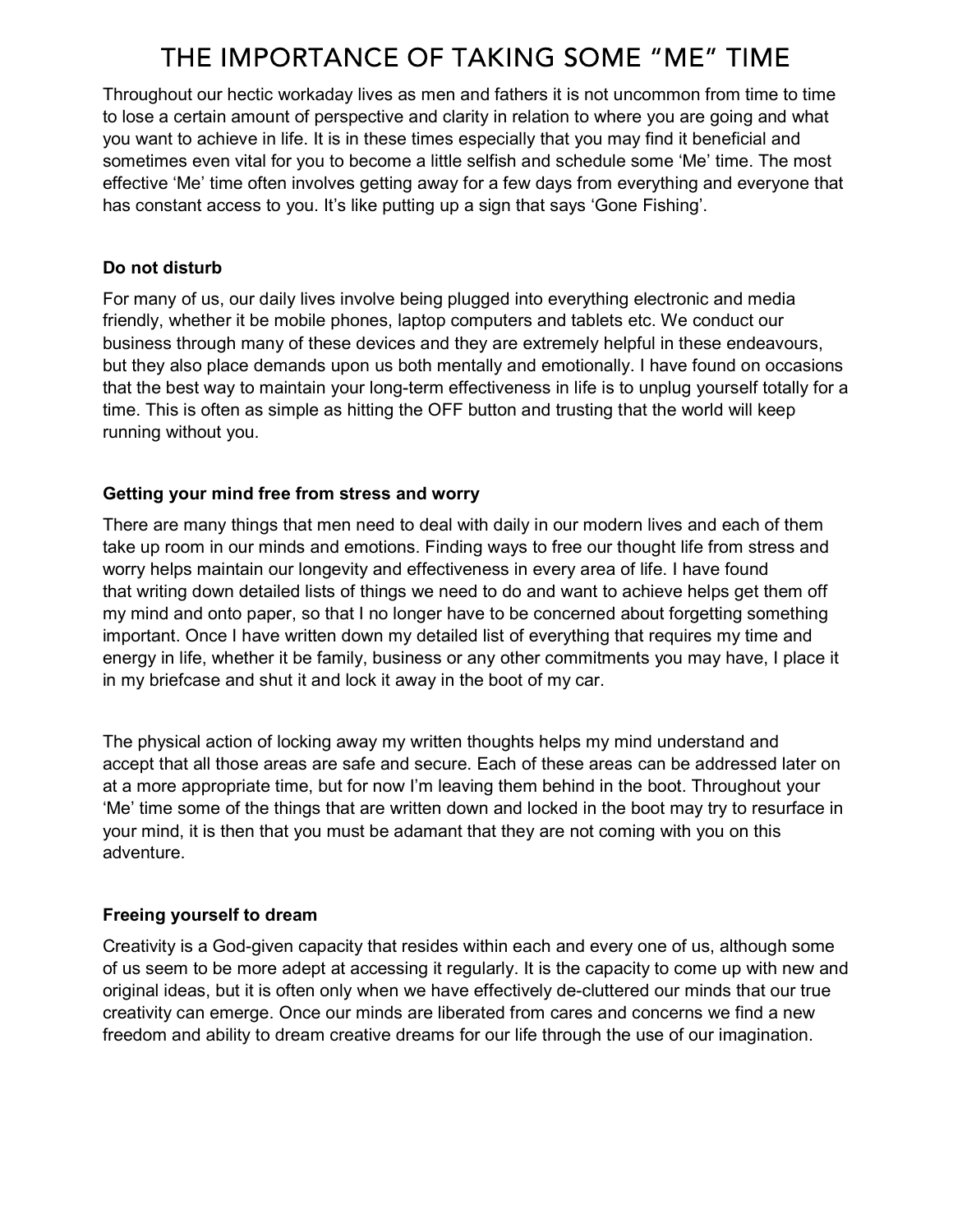# THE IMPORTANCE OF TAKING SOME "ME" TIME

Throughout our hectic workaday lives as men and fathers it is not uncommon from time to time to lose a certain amount of perspective and clarity in relation to where you are going and what you want to achieve in life. It is in these times especially that you may find it beneficial and sometimes even vital for you to become a little selfish and schedule some 'Me' time. The most effective 'Me' time often involves getting away for a few days from everything and everyone that has constant access to you. It's like putting up a sign that says 'Gone Fishing'.

#### Do not disturb

For many of us, our daily lives involve being plugged into everything electronic and media friendly, whether it be mobile phones, laptop computers and tablets etc. We conduct our business through many of these devices and they are extremely helpful in these endeavours, but they also place demands upon us both mentally and emotionally. I have found on occasions that the best way to maintain your long-term effectiveness in life is to unplug yourself totally for a time. This is often as simple as hitting the OFF button and trusting that the world will keep running without you.

## Getting your mind free from stress and worry

There are many things that men need to deal with daily in our modern lives and each of them take up room in our minds and emotions. Finding ways to free our thought life from stress and worry helps maintain our longevity and effectiveness in every area of life. I have found that writing down detailed lists of things we need to do and want to achieve helps get them off my mind and onto paper, so that I no longer have to be concerned about forgetting something important. Once I have written down my detailed list of everything that requires my time and energy in life, whether it be family, business or any other commitments you may have, I place it in my briefcase and shut it and lock it away in the boot of my car.

The physical action of locking away my written thoughts helps my mind understand and accept that all those areas are safe and secure. Each of these areas can be addressed later on at a more appropriate time, but for now I'm leaving them behind in the boot. Throughout your 'Me' time some of the things that are written down and locked in the boot may try to resurface in your mind, it is then that you must be adamant that they are not coming with you on this adventure.

## Freeing yourself to dream

Creativity is a God-given capacity that resides within each and every one of us, although some of us seem to be more adept at accessing it regularly. It is the capacity to come up with new and original ideas, but it is often only when we have effectively de-cluttered our minds that our true creativity can emerge. Once our minds are liberated from cares and concerns we find a new freedom and ability to dream creative dreams for our life through the use of our imagination.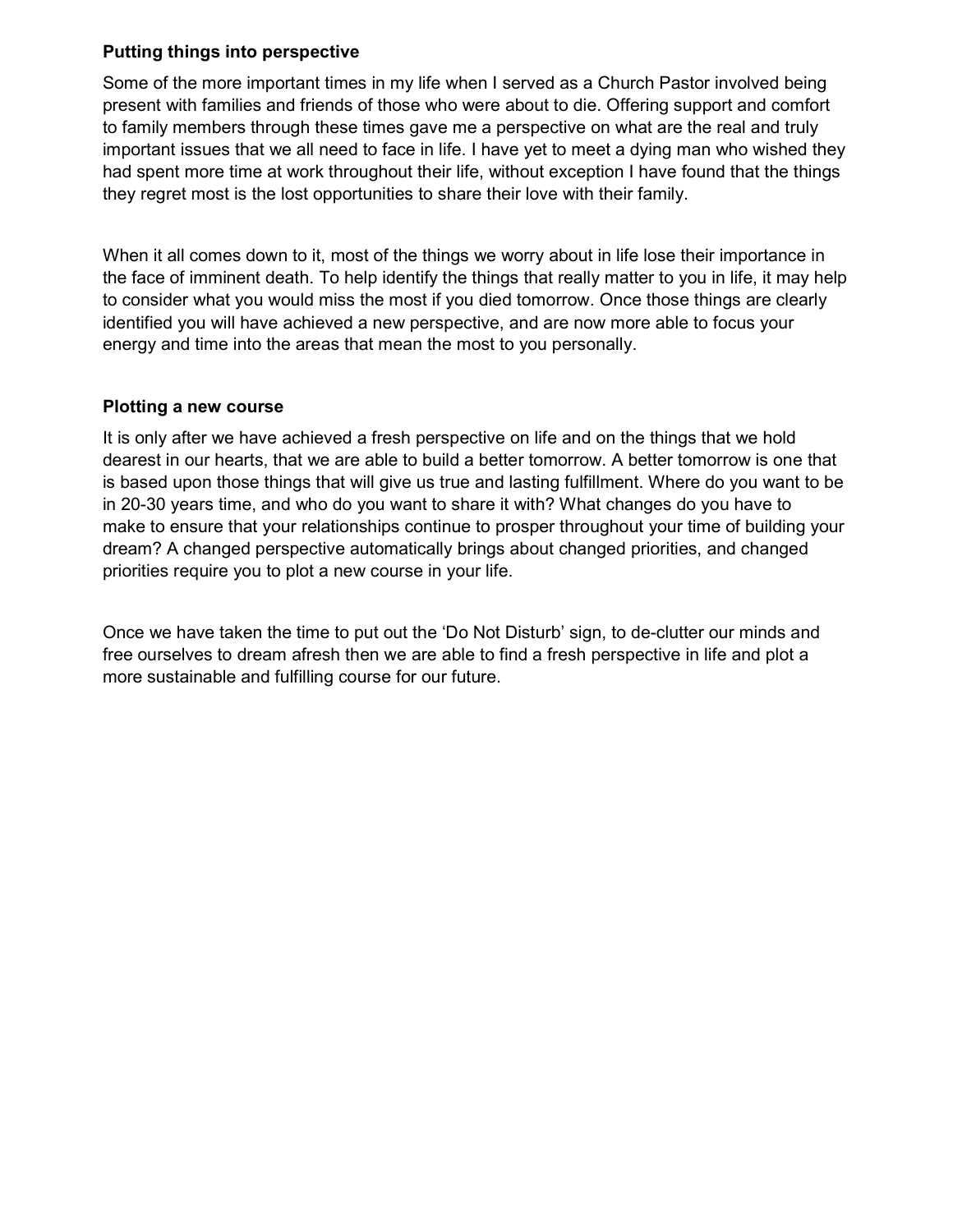#### Putting things into perspective

Some of the more important times in my life when I served as a Church Pastor involved being present with families and friends of those who were about to die. Offering support and comfort to family members through these times gave me a perspective on what are the real and truly important issues that we all need to face in life. I have yet to meet a dying man who wished they had spent more time at work throughout their life, without exception I have found that the things they regret most is the lost opportunities to share their love with their family.

When it all comes down to it, most of the things we worry about in life lose their importance in the face of imminent death. To help identify the things that really matter to you in life, it may help to consider what you would miss the most if you died tomorrow. Once those things are clearly identified you will have achieved a new perspective, and are now more able to focus your energy and time into the areas that mean the most to you personally.

#### Plotting a new course

It is only after we have achieved a fresh perspective on life and on the things that we hold dearest in our hearts, that we are able to build a better tomorrow. A better tomorrow is one that is based upon those things that will give us true and lasting fulfillment. Where do you want to be in 20-30 years time, and who do you want to share it with? What changes do you have to make to ensure that your relationships continue to prosper throughout your time of building your dream? A changed perspective automatically brings about changed priorities, and changed priorities require you to plot a new course in your life.

Once we have taken the time to put out the 'Do Not Disturb' sign, to de-clutter our minds and free ourselves to dream afresh then we are able to find a fresh perspective in life and plot a more sustainable and fulfilling course for our future.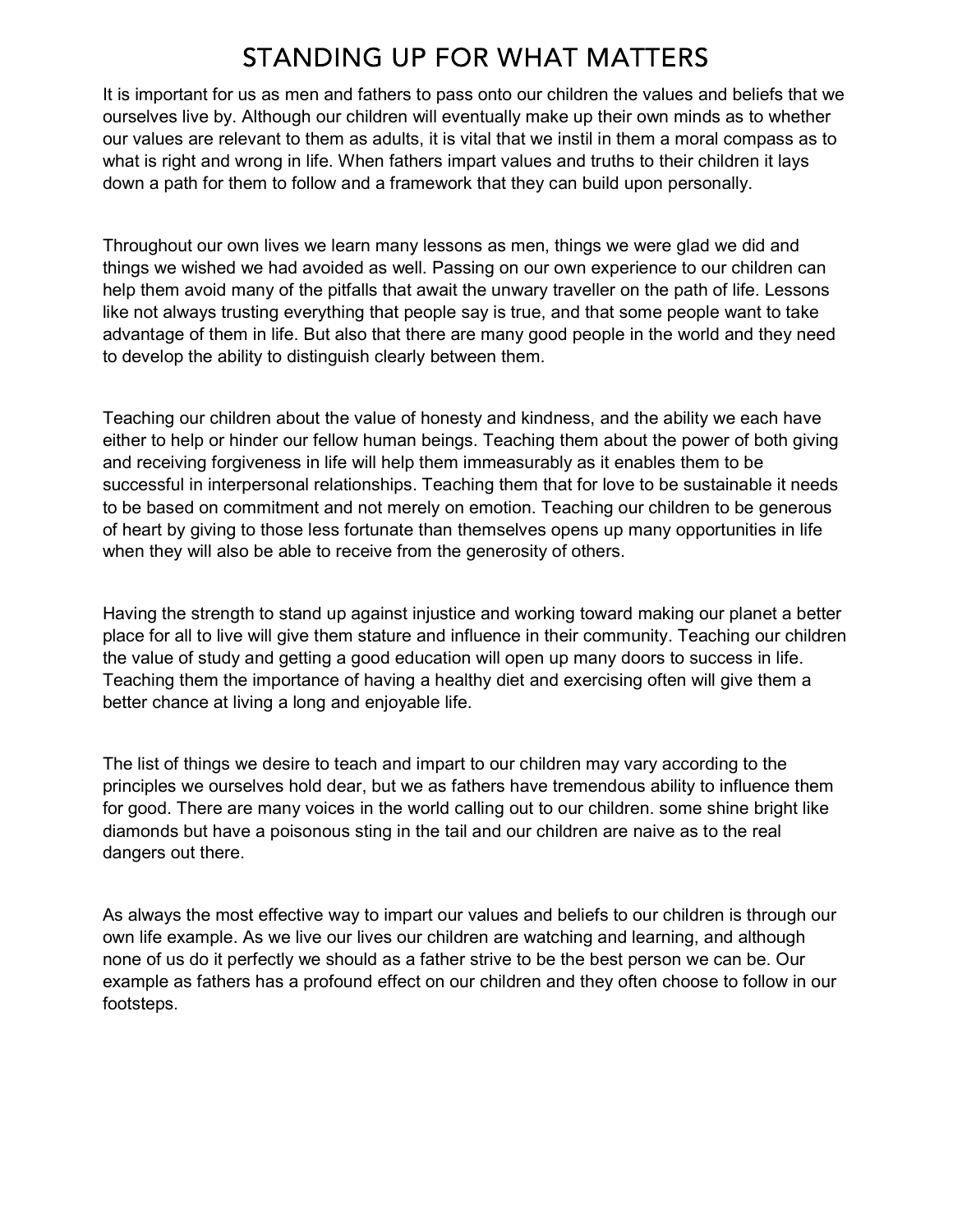## STANDING UP FOR WHAT MATTERS

It is important for us as men and fathers to pass onto our children the values and beliefs that we ourselves live by. Although our children will eventually make up their own minds as to whether our values are relevant to them as adults, it is vital that we instil in them a moral compass as to what is right and wrong in life. When fathers impart values and truths to their children it lays down a path for them to follow and a framework that they can build upon personally.

Throughout our own lives we learn many lessons as men, things we were glad we did and things we wished we had avoided as well. Passing on our own experience to our children can help them avoid many of the pitfalls that await the unwary traveller on the path of life. Lessons like not always trusting everything that people say is true, and that some people want to take advantage of them in life. But also that there are many good people in the world and they need to develop the ability to distinguish clearly between them.

Teaching our children about the value of honesty and kindness, and the ability we each have either to help or hinder our fellow human beings. Teaching them about the power of both giving and receiving forgiveness in life will help them immeasurably as it enables them to be successful in interpersonal relationships. Teaching them that for love to be sustainable it needs to be based on commitment and not merely on emotion. Teaching our children to be generous of heart by giving to those less fortunate than themselves opens up many opportunities in life when they will also be able to receive from the generosity of others.

Having the strength to stand up against injustice and working toward making our planet a better place for all to live will give them stature and influence in their community. Teaching our children the value of study and getting a good education will open up many doors to success in life. Teaching them the importance of having a healthy diet and exercising often will give them a better chance at living a long and enjoyable life.

The list of things we desire to teach and impart to our children may vary according to the principles we ourselves hold dear, but we as fathers have tremendous ability to influence them for good. There are many voices in the world calling out to our children. some shine bright like diamonds but have a poisonous sting in the tail and our children are naive as to the real dangers out there.

As always the most effective way to impart our values and beliefs to our children is through our own life example. As we live our lives our children are watching and learning, and although none of us do it perfectly we should as a father strive to be the best person we can be. Our example as fathers has a profound effect on our children and they often choose to follow in our footsteps.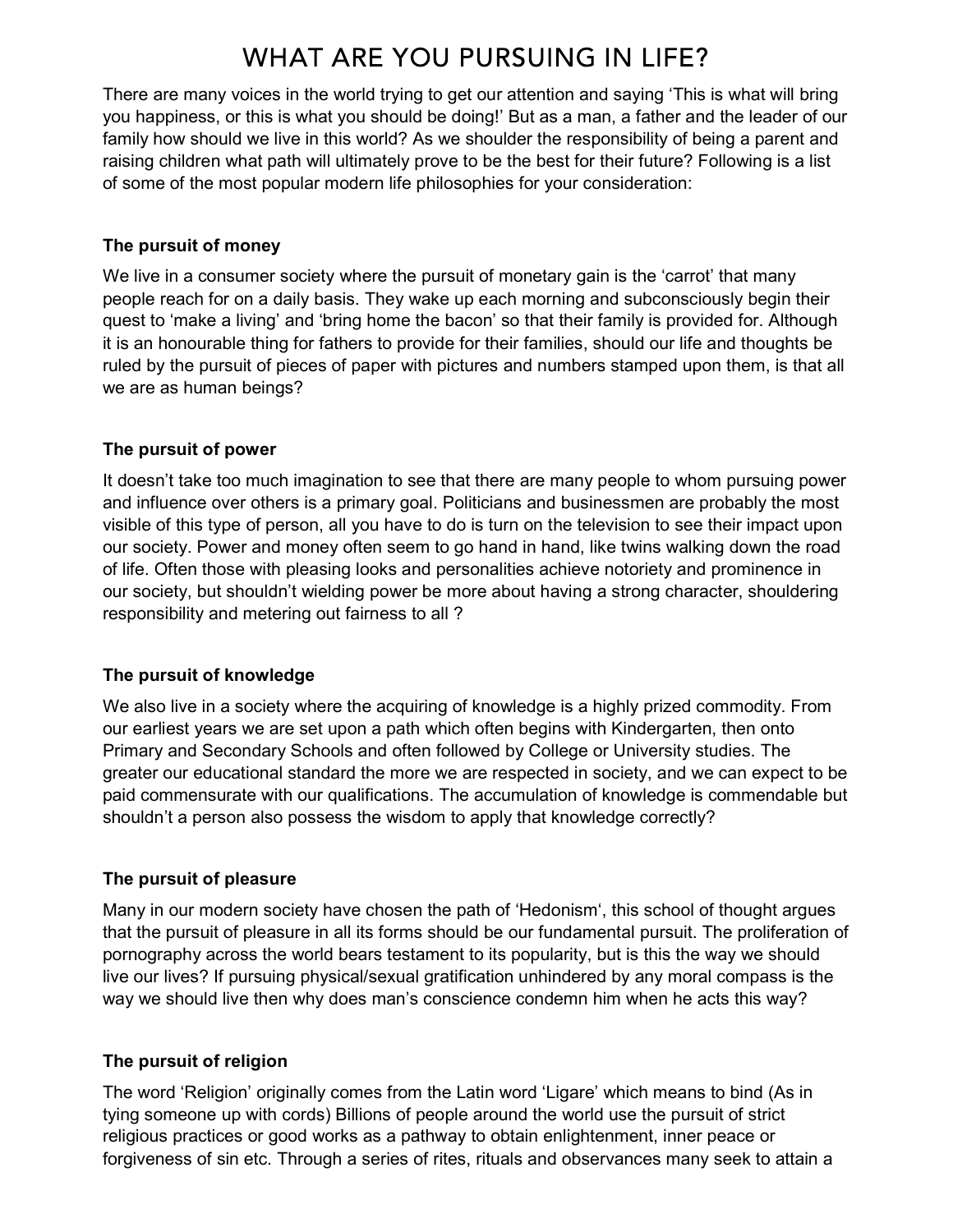# **WHAT ARE YOU PURSUING IN LIFE?**

There are many voices in the world trying to get our attention and saying 'This is what will bring you happiness, or this is what you should be doing!' But as a man, a father and the leader of our family how should we live in this world? As we shoulder the responsibility of being a parent and raising children what path will ultimately prove to be the best for their future? Following is a list of some of the most popular modern life philosophies for your consideration:

#### The pursuit of money

We live in a consumer society where the pursuit of monetary gain is the 'carrot' that many people reach for on a daily basis. They wake up each morning and subconsciously begin their quest to 'make a living' and 'bring home the bacon' so that their family is provided for. Although it is an honourable thing for fathers to provide for their families, should our life and thoughts be ruled by the pursuit of pieces of paper with pictures and numbers stamped upon them, is that all we are as human beings?

#### The pursuit of power

It doesn't take too much imagination to see that there are many people to whom pursuing power and influence over others is a primary goal. Politicians and businessmen are probably the most visible of this type of person, all you have to do is turn on the television to see their impact upon our society. Power and money often seem to go hand in hand, like twins walking down the road of life. Often those with pleasing looks and personalities achieve notoriety and prominence in our society, but shouldn't wielding power be more about having a strong character, shouldering responsibility and metering out fairness to all ?

#### The pursuit of knowledge

We also live in a society where the acquiring of knowledge is a highly prized commodity. From our earliest years we are set upon a path which often begins with Kindergarten, then onto Primary and Secondary Schools and often followed by College or University studies. The greater our educational standard the more we are respected in society, and we can expect to be paid commensurate with our qualifications. The accumulation of knowledge is commendable but shouldn't a person also possess the wisdom to apply that knowledge correctly?

#### The pursuit of pleasure

Many in our modern society have chosen the path of 'Hedonism', this school of thought argues that the pursuit of pleasure in all its forms should be our fundamental pursuit. The proliferation of pornography across the world bears testament to its popularity, but is this the way we should live our lives? If pursuing physical/sexual gratification unhindered by any moral compass is the way we should live then why does man's conscience condemn him when he acts this way?

#### The pursuit of religion

The word 'Religion' originally comes from the Latin word 'Ligare' which means to bind (As in tying someone up with cords) Billions of people around the world use the pursuit of strict religious practices or good works as a pathway to obtain enlightenment, inner peace or forgiveness of sin etc. Through a series of rites, rituals and observances many seek to attain a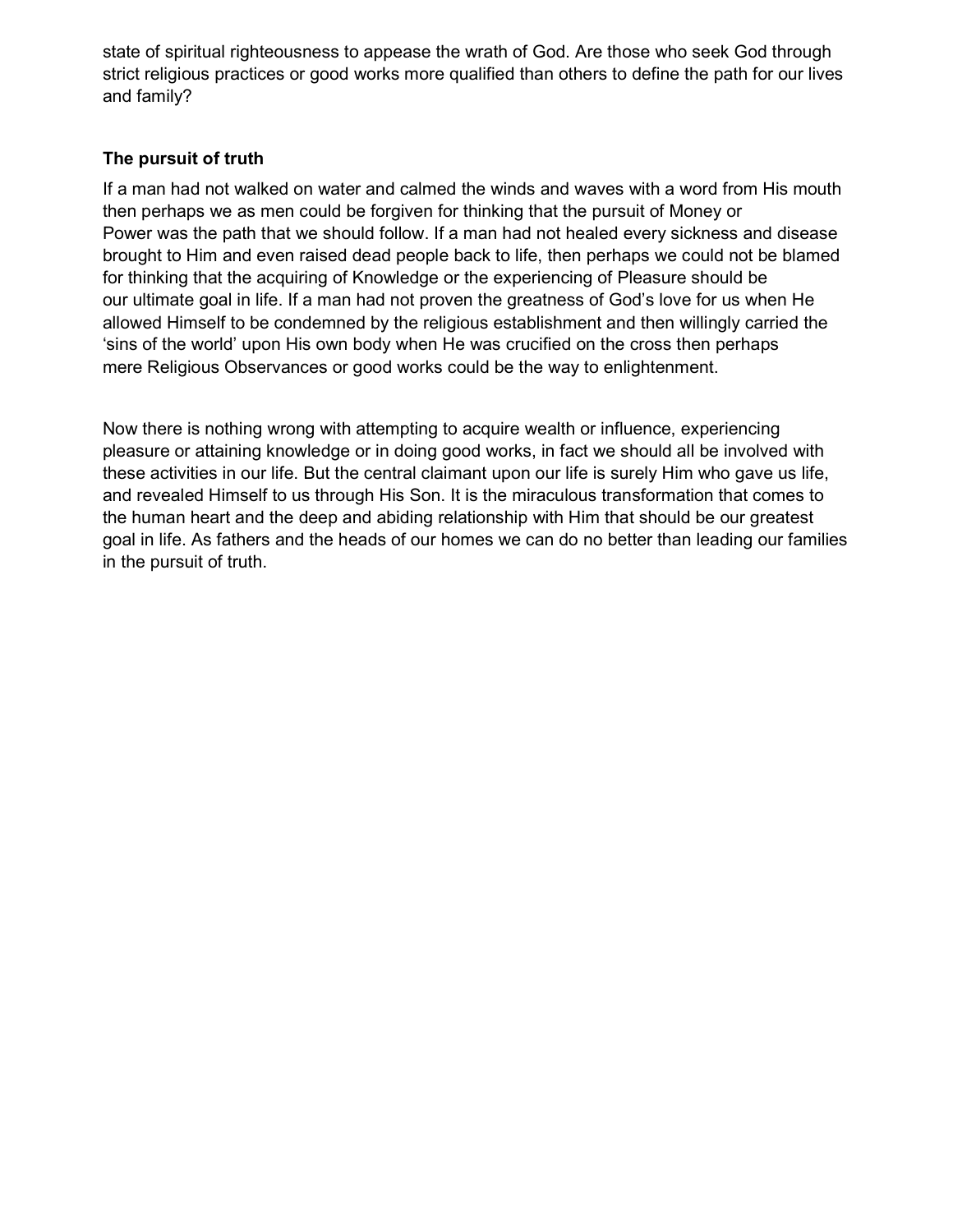state of spiritual righteousness to appease the wrath of God. Are those who seek God through strict religious practices or good works more qualified than others to define the path for our lives and family?

### The pursuit of truth

If a man had not walked on water and calmed the winds and waves with a word from His mouth then perhaps we as men could be forgiven for thinking that the pursuit of Money or Power was the path that we should follow. If a man had not healed every sickness and disease brought to Him and even raised dead people back to life, then perhaps we could not be blamed for thinking that the acquiring of Knowledge or the experiencing of Pleasure should be our ultimate goal in life. If a man had not proven the greatness of God's love for us when He allowed Himself to be condemned by the religious establishment and then willingly carried the 'sins of the world' upon His own body when He was crucified on the cross then perhaps mere Religious Observances or good works could be the way to enlightenment.

Now there is nothing wrong with attempting to acquire wealth or influence, experiencing pleasure or attaining knowledge or in doing good works, in fact we should all be involved with these activities in our life. But the central claimant upon our life is surely Him who gave us life, and revealed Himself to us through His Son. It is the miraculous transformation that comes to the human heart and the deep and abiding relationship with Him that should be our greatest goal in life. As fathers and the heads of our homes we can do no better than leading our families in the pursuit of truth.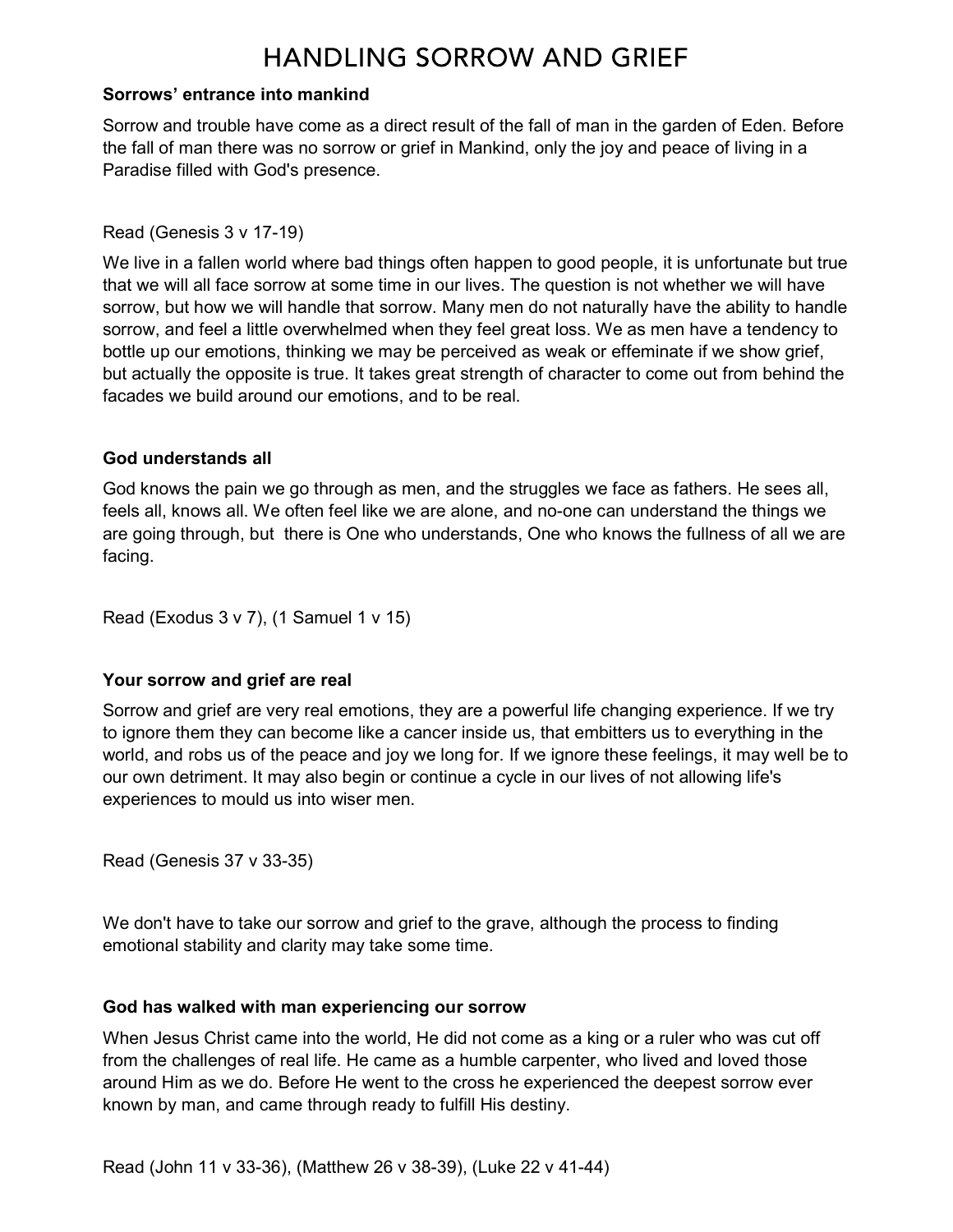## **HANDLING SORROW AND GRIEF**

#### Sorrows' entrance into mankind

Sorrow and trouble have come as a direct result of the fall of man in the garden of Eden. Before the fall of man there was no sorrow or grief in Mankind, only the joy and peace of living in a Paradise filled with God's presence.

#### Read (Genesis 3 v 17-19)

We live in a fallen world where bad things often happen to good people, it is unfortunate but true that we will all face sorrow at some time in our lives. The question is not whether we will have sorrow, but how we will handle that sorrow. Many men do not naturally have the ability to handle sorrow, and feel a little overwhelmed when they feel great loss. We as men have a tendency to bottle up our emotions, thinking we may be perceived as weak or effeminate if we show grief, but actually the opposite is true. It takes great strength of character to come out from behind the facades we build around our emotions, and to be real.

#### God understands all

God knows the pain we go through as men, and the struggles we face as fathers. He sees all, feels all, knows all. We often feel like we are alone, and no-one can understand the things we are going through, but there is One who understands, One who knows the fullness of all we are facing.

Read (Exodus 3 v 7), (1 Samuel 1 v 15)

#### Your sorrow and grief are real

Sorrow and grief are very real emotions, they are a powerful life changing experience. If we try to ignore them they can become like a cancer inside us, that embitters us to everything in the world, and robs us of the peace and joy we long for. If we ignore these feelings, it may well be to our own detriment. It may also begin or continue a cycle in our lives of not allowing life's experiences to mould us into wiser men.

Read (Genesis 37 v 33-35)

We don't have to take our sorrow and grief to the grave, although the process to finding emotional stability and clarity may take some time.

#### God has walked with man experiencing our sorrow

When Jesus Christ came into the world, He did not come as a king or a ruler who was cut off from the challenges of real life. He came as a humble carpenter, who lived and loved those around Him as we do. Before He went to the cross he experienced the deepest sorrow ever known by man, and came through ready to fulfill His destiny.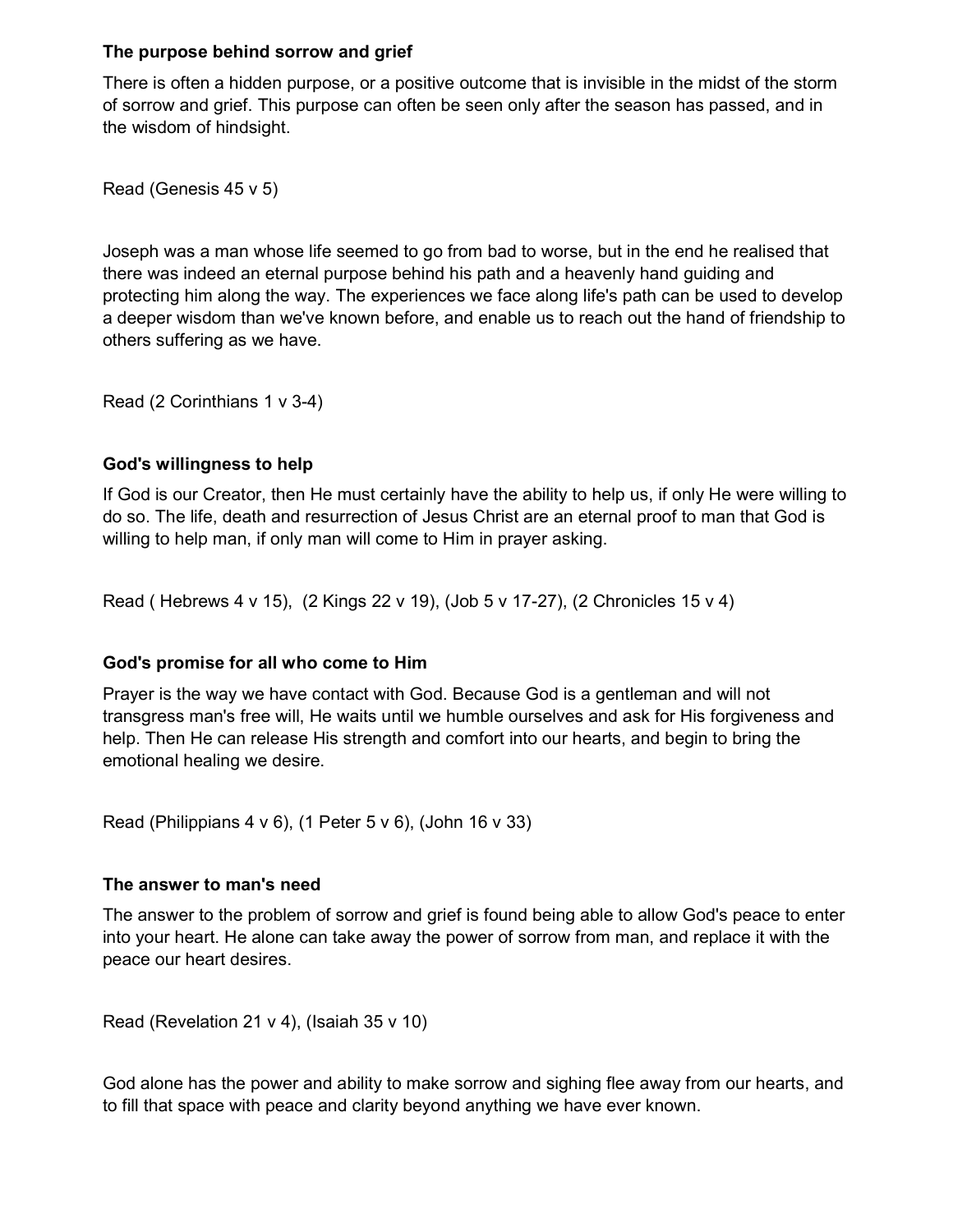#### The purpose behind sorrow and grief

There is often a hidden purpose, or a positive outcome that is invisible in the midst of the storm of sorrow and grief. This purpose can often be seen only after the season has passed, and in the wisdom of hindsight.

Read (Genesis 45 v 5)

Joseph was a man whose life seemed to go from bad to worse, but in the end he realised that there was indeed an eternal purpose behind his path and a heavenly hand guiding and protecting him along the way. The experiences we face along life's path can be used to develop a deeper wisdom than we've known before, and enable us to reach out the hand of friendship to others suffering as we have.

Read (2 Corinthians 1 v 3-4)

#### God's willingness to help

If God is our Creator, then He must certainly have the ability to help us, if only He were willing to do so. The life, death and resurrection of Jesus Christ are an eternal proof to man that God is willing to help man, if only man will come to Him in prayer asking.

Read ( Hebrews 4 v 15), (2 Kings 22 v 19), (Job 5 v 17-27), (2 Chronicles 15 v 4)

#### God's promise for all who come to Him

Prayer is the way we have contact with God. Because God is a gentleman and will not transgress man's free will, He waits until we humble ourselves and ask for His forgiveness and help. Then He can release His strength and comfort into our hearts, and begin to bring the emotional healing we desire.

Read (Philippians 4 v 6), (1 Peter 5 v 6), (John 16 v 33)

#### The answer to man's need

The answer to the problem of sorrow and grief is found being able to allow God's peace to enter into your heart. He alone can take away the power of sorrow from man, and replace it with the peace our heart desires.

Read (Revelation 21 v 4), (Isaiah 35 v 10)

God alone has the power and ability to make sorrow and sighing flee away from our hearts, and to fill that space with peace and clarity beyond anything we have ever known.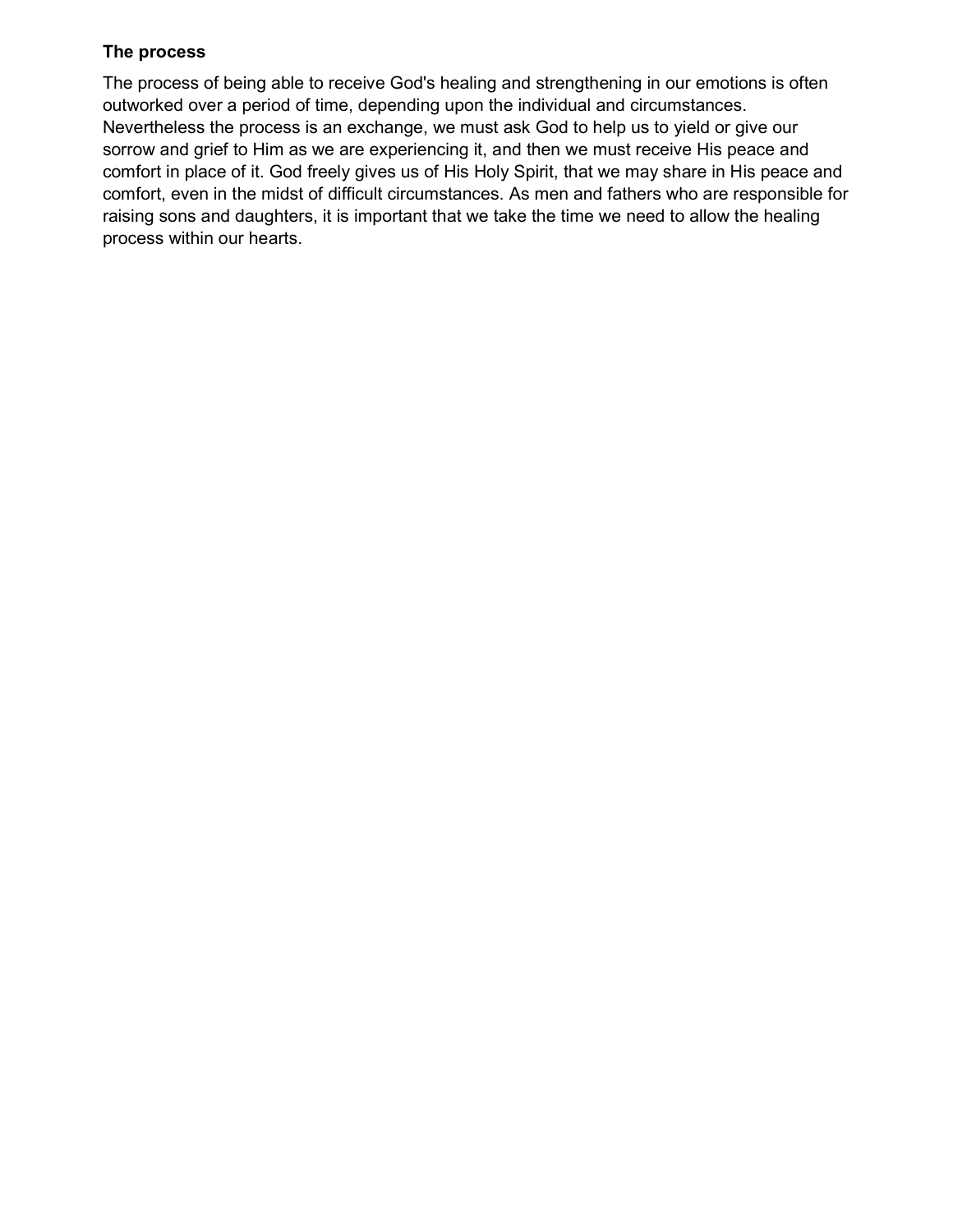#### The process

The process of being able to receive God's healing and strengthening in our emotions is often outworked over a period of time, depending upon the individual and circumstances. Nevertheless the process is an exchange, we must ask God to help us to yield or give our sorrow and grief to Him as we are experiencing it, and then we must receive His peace and comfort in place of it. God freely gives us of His Holy Spirit, that we may share in His peace and comfort, even in the midst of difficult circumstances. As men and fathers who are responsible for raising sons and daughters, it is important that we take the time we need to allow the healing process within our hearts.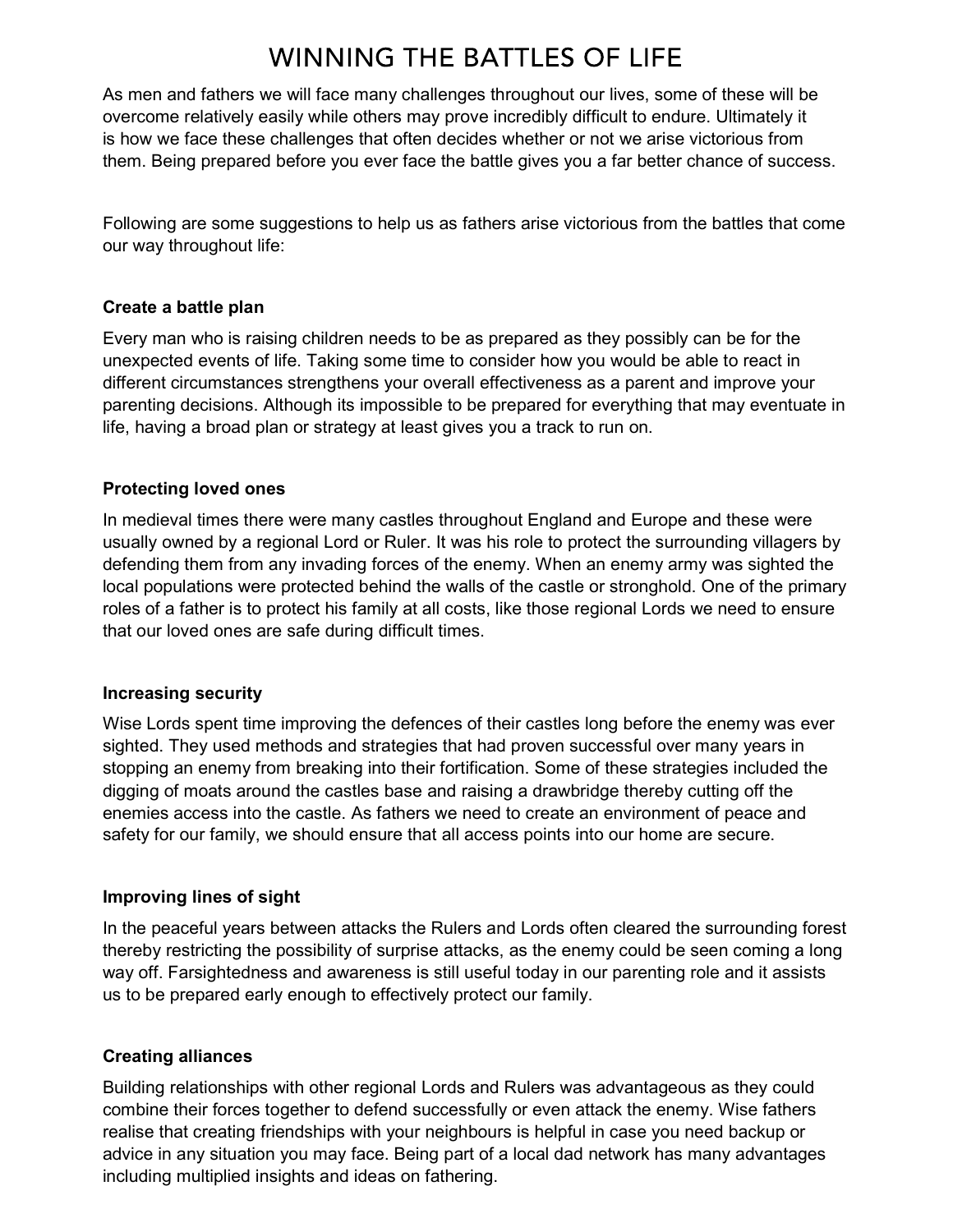# **WINNING THE BATTLES OF LIFE**

As men and fathers we will face many challenges throughout our lives, some of these will be overcome relatively easily while others may prove incredibly difficult to endure. Ultimately it is how we face these challenges that often decides whether or not we arise victorious from them. Being prepared before you ever face the battle gives you a far better chance of success.

Following are some suggestions to help us as fathers arise victorious from the battles that come our way throughout life:

#### Create a battle plan

Every man who is raising children needs to be as prepared as they possibly can be for the unexpected events of life. Taking some time to consider how you would be able to react in different circumstances strengthens your overall effectiveness as a parent and improve your parenting decisions. Although its impossible to be prepared for everything that may eventuate in life, having a broad plan or strategy at least gives you a track to run on.

## Protecting loved ones

In medieval times there were many castles throughout England and Europe and these were usually owned by a regional Lord or Ruler. It was his role to protect the surrounding villagers by defending them from any invading forces of the enemy. When an enemy army was sighted the local populations were protected behind the walls of the castle or stronghold. One of the primary roles of a father is to protect his family at all costs, like those regional Lords we need to ensure that our loved ones are safe during difficult times.

## Increasing security

Wise Lords spent time improving the defences of their castles long before the enemy was ever sighted. They used methods and strategies that had proven successful over many years in stopping an enemy from breaking into their fortification. Some of these strategies included the digging of moats around the castles base and raising a drawbridge thereby cutting off the enemies access into the castle. As fathers we need to create an environment of peace and safety for our family, we should ensure that all access points into our home are secure.

## Improving lines of sight

In the peaceful years between attacks the Rulers and Lords often cleared the surrounding forest thereby restricting the possibility of surprise attacks, as the enemy could be seen coming a long way off. Farsightedness and awareness is still useful today in our parenting role and it assists us to be prepared early enough to effectively protect our family.

## Creating alliances

Building relationships with other regional Lords and Rulers was advantageous as they could combine their forces together to defend successfully or even attack the enemy. Wise fathers realise that creating friendships with your neighbours is helpful in case you need backup or advice in any situation you may face. Being part of a local dad network has many advantages including multiplied insights and ideas on fathering.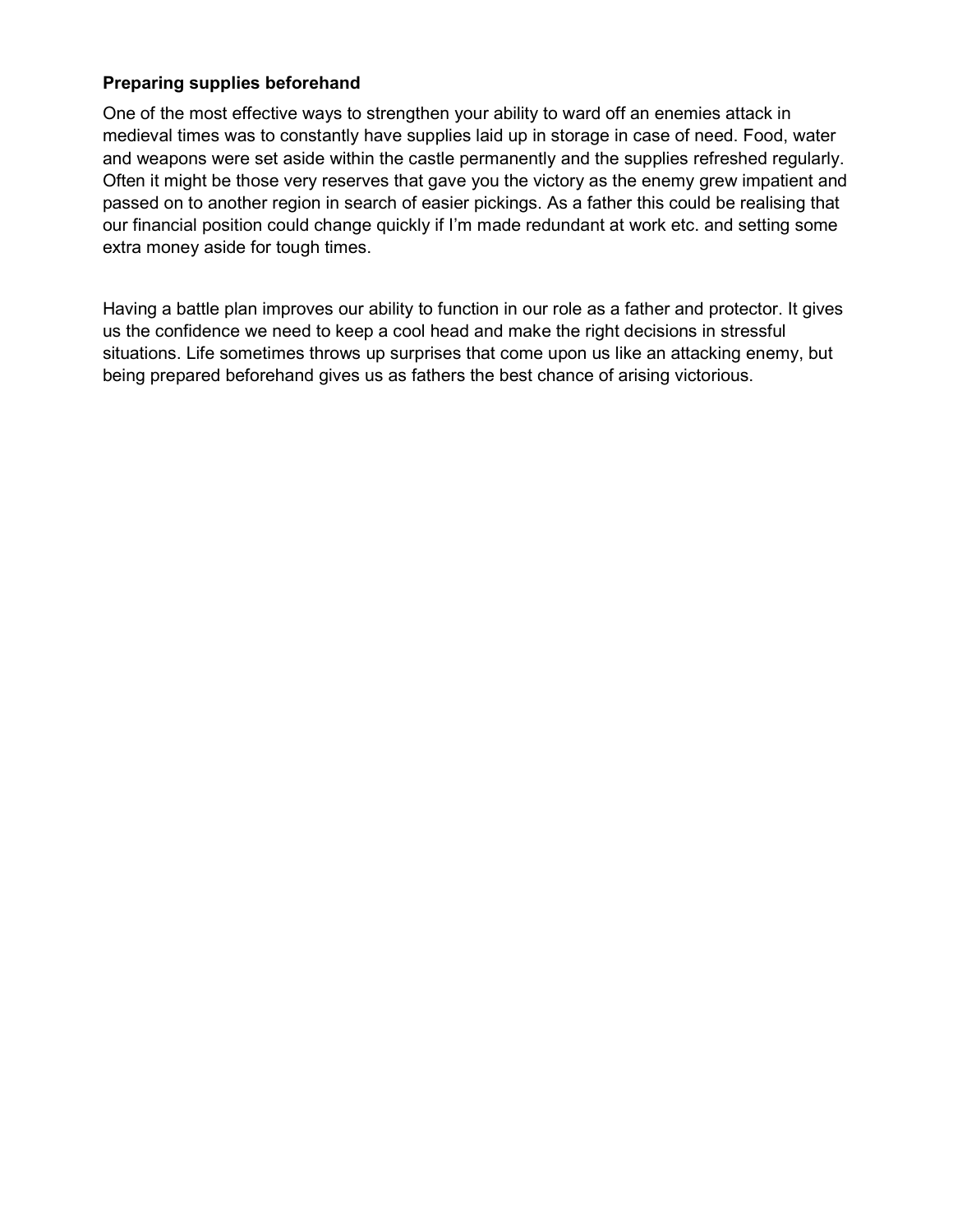#### Preparing supplies beforehand

One of the most effective ways to strengthen your ability to ward off an enemies attack in medieval times was to constantly have supplies laid up in storage in case of need. Food, water and weapons were set aside within the castle permanently and the supplies refreshed regularly. Often it might be those very reserves that gave you the victory as the enemy grew impatient and passed on to another region in search of easier pickings. As a father this could be realising that our financial position could change quickly if I'm made redundant at work etc. and setting some extra money aside for tough times.

Having a battle plan improves our ability to function in our role as a father and protector. It gives us the confidence we need to keep a cool head and make the right decisions in stressful situations. Life sometimes throws up surprises that come upon us like an attacking enemy, but being prepared beforehand gives us as fathers the best chance of arising victorious.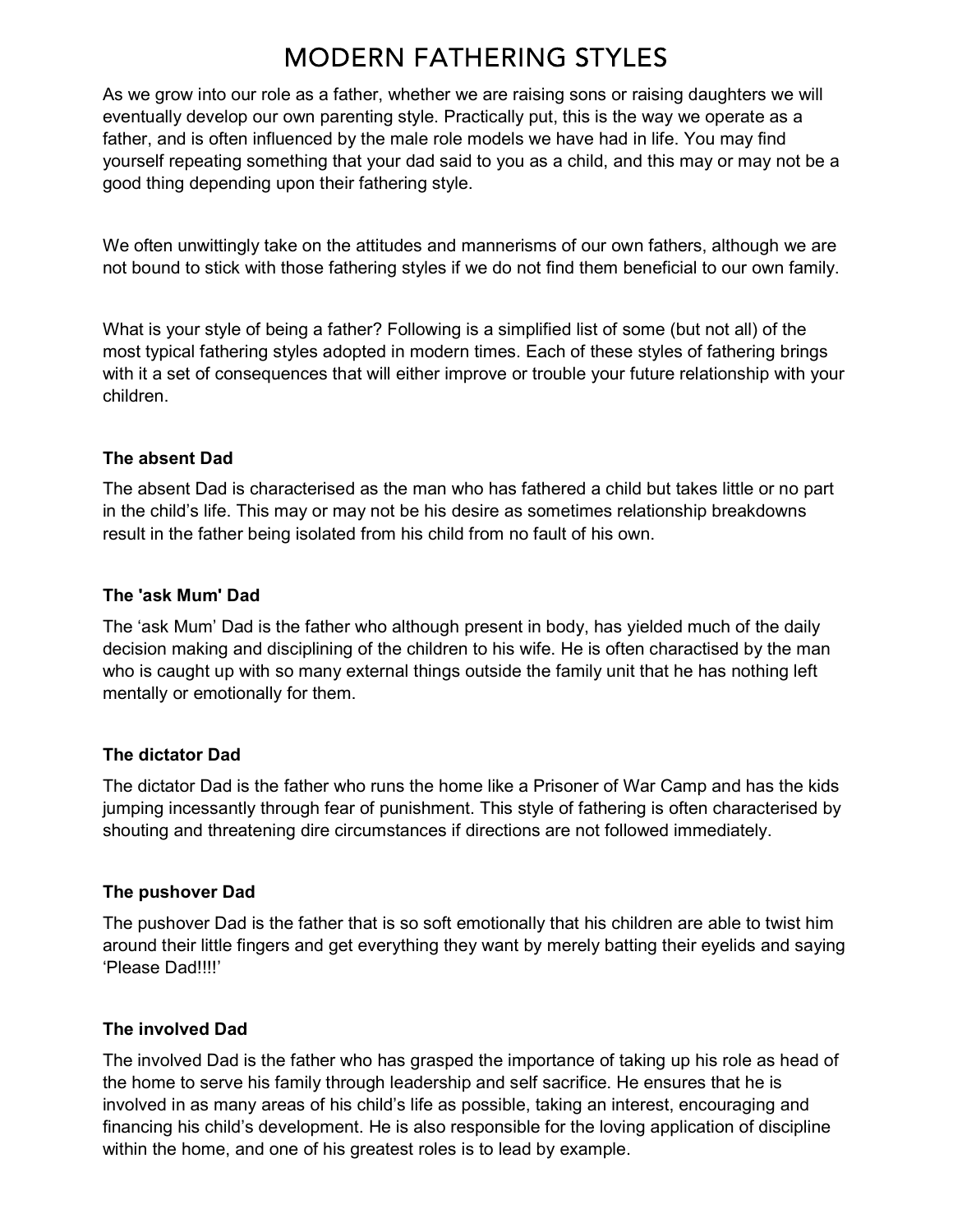# **MODERN FATHERING STYLES**

As we grow into our role as a father, whether we are raising sons or raising daughters we will eventually develop our own parenting style. Practically put, this is the way we operate as a father, and is often influenced by the male role models we have had in life. You may find yourself repeating something that your dad said to you as a child, and this may or may not be a good thing depending upon their fathering style.

We often unwittingly take on the attitudes and mannerisms of our own fathers, although we are not bound to stick with those fathering styles if we do not find them beneficial to our own family.

What is your style of being a father? Following is a simplified list of some (but not all) of the most typical fathering styles adopted in modern times. Each of these styles of fathering brings with it a set of consequences that will either improve or trouble your future relationship with your children.

#### The absent Dad

The absent Dad is characterised as the man who has fathered a child but takes little or no part in the child's life. This may or may not be his desire as sometimes relationship breakdowns result in the father being isolated from his child from no fault of his own.

### The 'ask Mum' Dad

The 'ask Mum' Dad is the father who although present in body, has yielded much of the daily decision making and disciplining of the children to his wife. He is often charactised by the man who is caught up with so many external things outside the family unit that he has nothing left mentally or emotionally for them.

## The dictator Dad

The dictator Dad is the father who runs the home like a Prisoner of War Camp and has the kids jumping incessantly through fear of punishment. This style of fathering is often characterised by shouting and threatening dire circumstances if directions are not followed immediately.

## The pushover Dad

The pushover Dad is the father that is so soft emotionally that his children are able to twist him around their little fingers and get everything they want by merely batting their eyelids and saying 'Please Dad!!!!'

## The involved Dad

The involved Dad is the father who has grasped the importance of taking up his role as head of the home to serve his family through leadership and self sacrifice. He ensures that he is involved in as many areas of his child's life as possible, taking an interest, encouraging and financing his child's development. He is also responsible for the loving application of discipline within the home, and one of his greatest roles is to lead by example.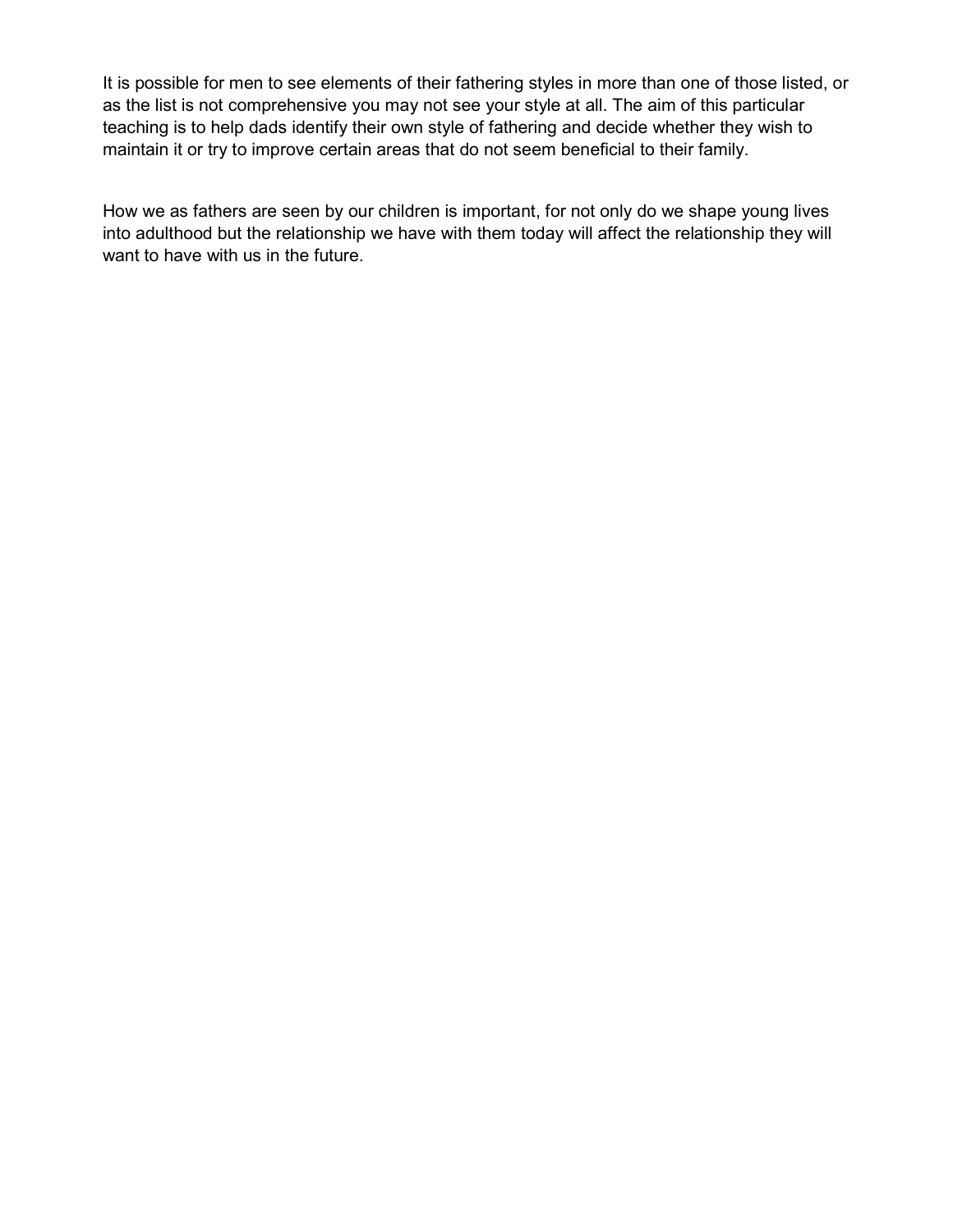It is possible for men to see elements of their fathering styles in more than one of those listed, or as the list is not comprehensive you may not see your style at all. The aim of this particular teaching is to help dads identify their own style of fathering and decide whether they wish to maintain it or try to improve certain areas that do not seem beneficial to their family.

How we as fathers are seen by our children is important, for not only do we shape young lives into adulthood but the relationship we have with them today will affect the relationship they will want to have with us in the future.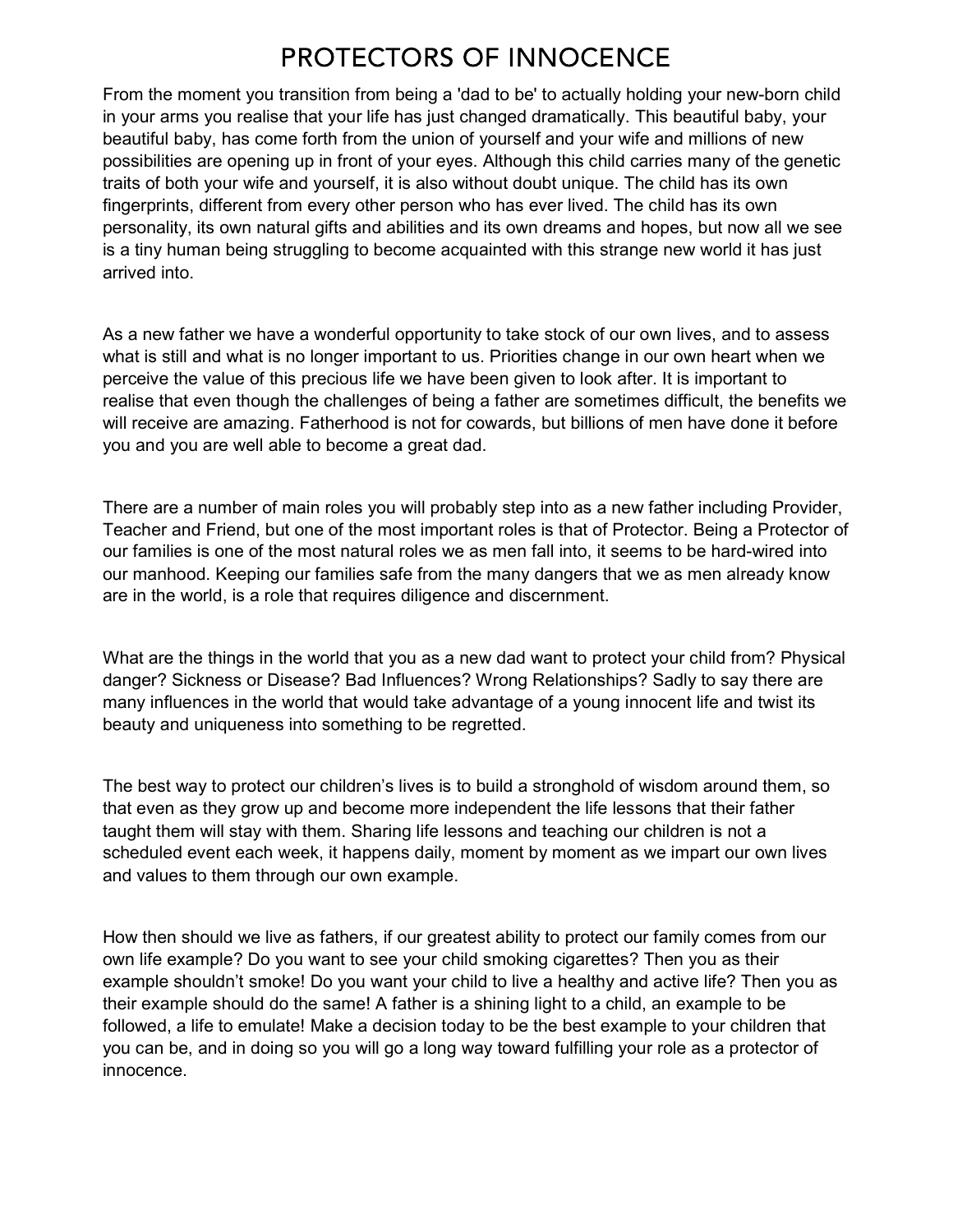## PROTECTORS OF INNOCENCE

From the moment you transition from being a 'dad to be' to actually holding your new-born child in your arms you realise that your life has just changed dramatically. This beautiful baby, your beautiful baby, has come forth from the union of yourself and your wife and millions of new possibilities are opening up in front of your eyes. Although this child carries many of the genetic traits of both your wife and yourself, it is also without doubt unique. The child has its own fingerprints, different from every other person who has ever lived. The child has its own personality, its own natural gifts and abilities and its own dreams and hopes, but now all we see is a tiny human being struggling to become acquainted with this strange new world it has just arrived into.

As a new father we have a wonderful opportunity to take stock of our own lives, and to assess what is still and what is no longer important to us. Priorities change in our own heart when we perceive the value of this precious life we have been given to look after. It is important to realise that even though the challenges of being a father are sometimes difficult, the benefits we will receive are amazing. Fatherhood is not for cowards, but billions of men have done it before you and you are well able to become a great dad.

There are a number of main roles you will probably step into as a new father including Provider, Teacher and Friend, but one of the most important roles is that of Protector. Being a Protector of our families is one of the most natural roles we as men fall into, it seems to be hard-wired into our manhood. Keeping our families safe from the many dangers that we as men already know are in the world, is a role that requires diligence and discernment.

What are the things in the world that you as a new dad want to protect your child from? Physical danger? Sickness or Disease? Bad Influences? Wrong Relationships? Sadly to say there are many influences in the world that would take advantage of a young innocent life and twist its beauty and uniqueness into something to be regretted.

The best way to protect our children's lives is to build a stronghold of wisdom around them, so that even as they grow up and become more independent the life lessons that their father taught them will stay with them. Sharing life lessons and teaching our children is not a scheduled event each week, it happens daily, moment by moment as we impart our own lives and values to them through our own example.

How then should we live as fathers, if our greatest ability to protect our family comes from our own life example? Do you want to see your child smoking cigarettes? Then you as their example shouldn't smoke! Do you want your child to live a healthy and active life? Then you as their example should do the same! A father is a shining light to a child, an example to be followed, a life to emulate! Make a decision today to be the best example to your children that you can be, and in doing so you will go a long way toward fulfilling your role as a protector of innocence.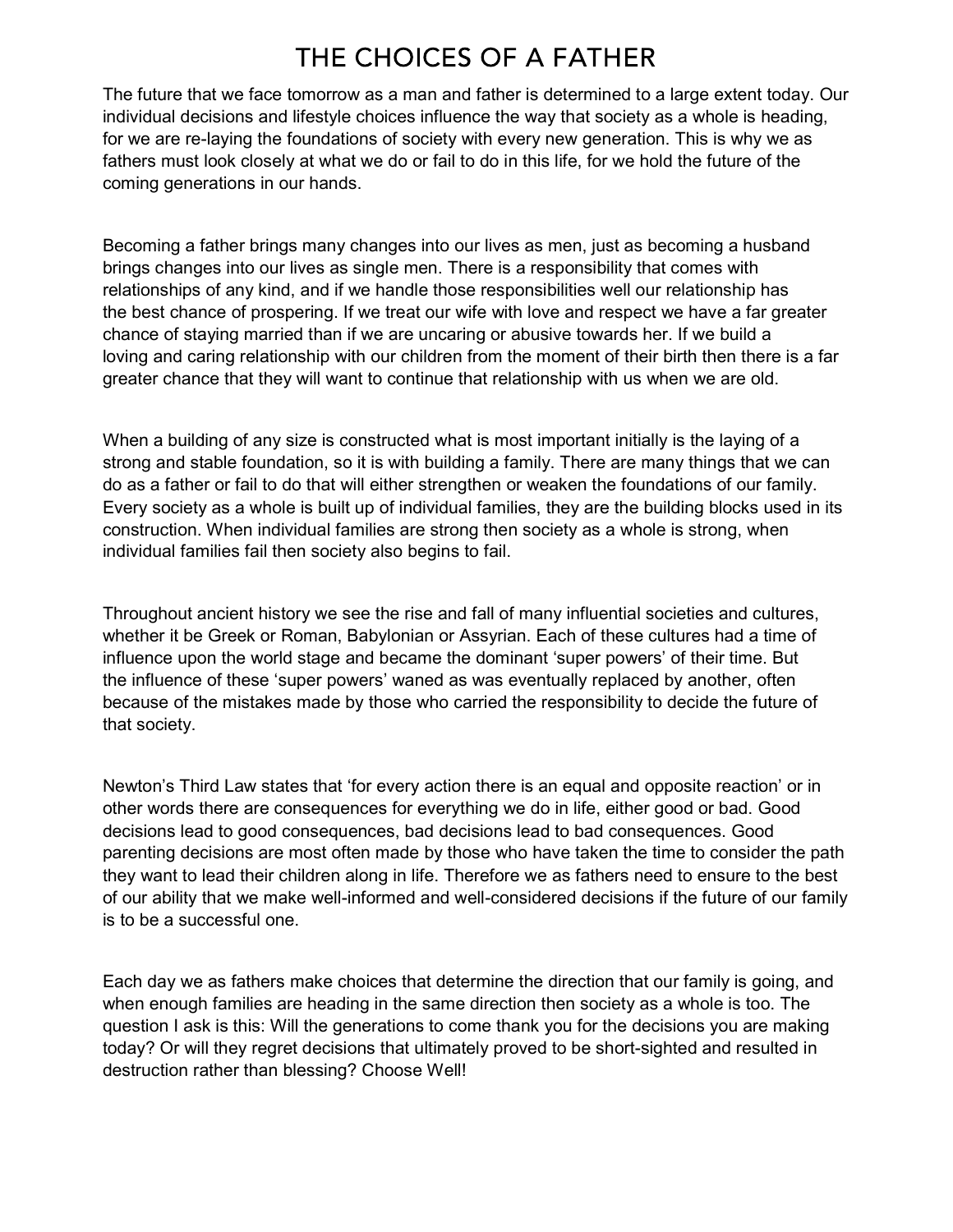## THE CHOICES OF A FATHER

The future that we face tomorrow as a man and father is determined to a large extent today. Our individual decisions and lifestyle choices influence the way that society as a whole is heading, for we are re-laying the foundations of society with every new generation. This is why we as fathers must look closely at what we do or fail to do in this life, for we hold the future of the coming generations in our hands.

Becoming a father brings many changes into our lives as men, just as becoming a husband brings changes into our lives as single men. There is a responsibility that comes with relationships of any kind, and if we handle those responsibilities well our relationship has the best chance of prospering. If we treat our wife with love and respect we have a far greater chance of staying married than if we are uncaring or abusive towards her. If we build a loving and caring relationship with our children from the moment of their birth then there is a far greater chance that they will want to continue that relationship with us when we are old.

When a building of any size is constructed what is most important initially is the laying of a strong and stable foundation, so it is with building a family. There are many things that we can do as a father or fail to do that will either strengthen or weaken the foundations of our family. Every society as a whole is built up of individual families, they are the building blocks used in its construction. When individual families are strong then society as a whole is strong, when individual families fail then society also begins to fail.

Throughout ancient history we see the rise and fall of many influential societies and cultures, whether it be Greek or Roman, Babylonian or Assyrian. Each of these cultures had a time of influence upon the world stage and became the dominant 'super powers' of their time. But the influence of these 'super powers' waned as was eventually replaced by another, often because of the mistakes made by those who carried the responsibility to decide the future of that society.

Newton's Third Law states that 'for every action there is an equal and opposite reaction' or in other words there are consequences for everything we do in life, either good or bad. Good decisions lead to good consequences, bad decisions lead to bad consequences. Good parenting decisions are most often made by those who have taken the time to consider the path they want to lead their children along in life. Therefore we as fathers need to ensure to the best of our ability that we make well-informed and well-considered decisions if the future of our family is to be a successful one.

Each day we as fathers make choices that determine the direction that our family is going, and when enough families are heading in the same direction then society as a whole is too. The question I ask is this: Will the generations to come thank you for the decisions you are making today? Or will they regret decisions that ultimately proved to be short-sighted and resulted in destruction rather than blessing? Choose Well!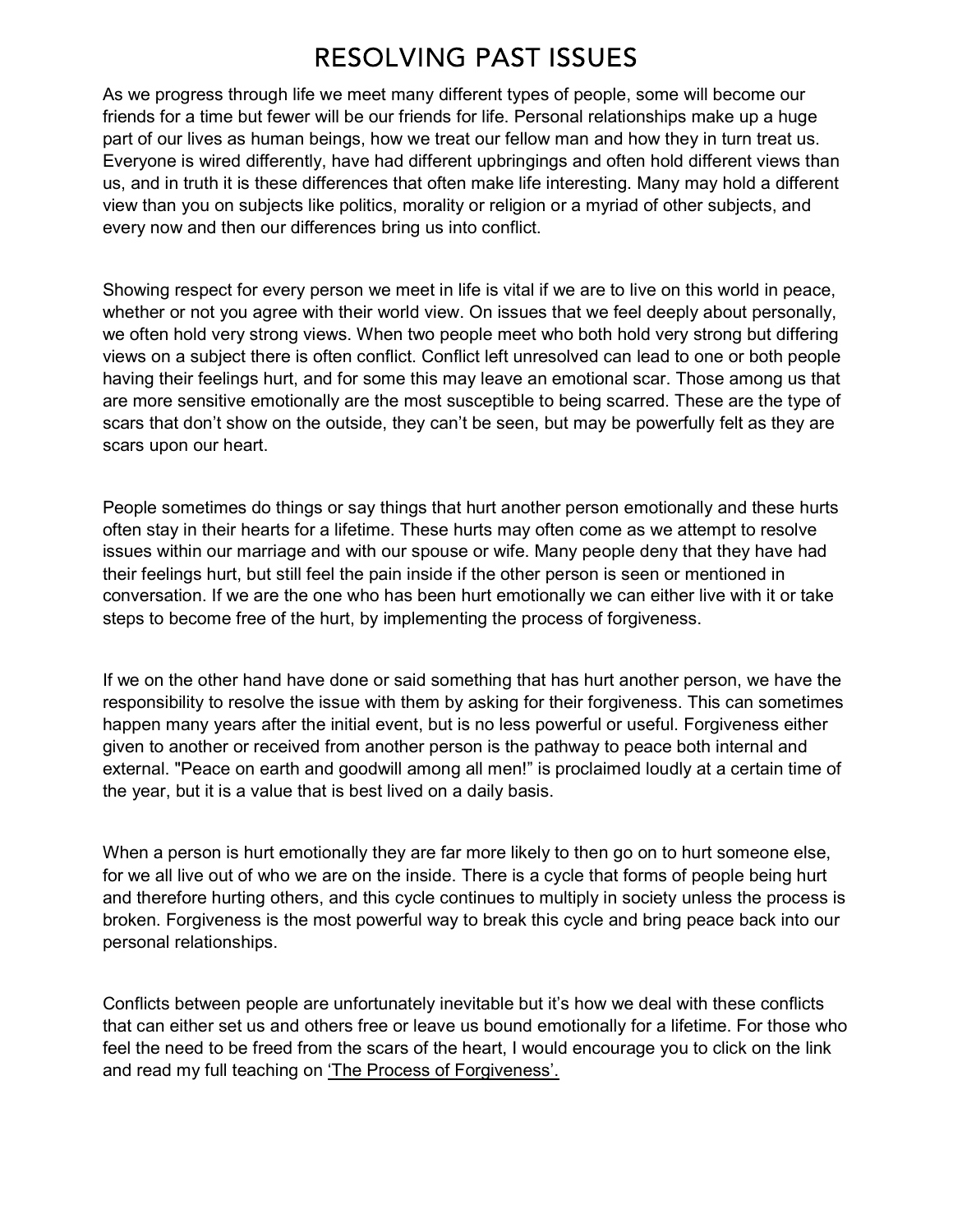## **RESOLVING PAST ISSUES**

As we progress through life we meet many different types of people, some will become our friends for a time but fewer will be our friends for life. Personal relationships make up a huge part of our lives as human beings, how we treat our fellow man and how they in turn treat us. Everyone is wired differently, have had different upbringings and often hold different views than us, and in truth it is these differences that often make life interesting. Many may hold a different view than you on subjects like politics, morality or religion or a myriad of other subjects, and every now and then our differences bring us into conflict.

Showing respect for every person we meet in life is vital if we are to live on this world in peace, whether or not you agree with their world view. On issues that we feel deeply about personally, we often hold very strong views. When two people meet who both hold very strong but differing views on a subject there is often conflict. Conflict left unresolved can lead to one or both people having their feelings hurt, and for some this may leave an emotional scar. Those among us that are more sensitive emotionally are the most susceptible to being scarred. These are the type of scars that don't show on the outside, they can't be seen, but may be powerfully felt as they are scars upon our heart.

People sometimes do things or say things that hurt another person emotionally and these hurts often stay in their hearts for a lifetime. These hurts may often come as we attempt to resolve issues within our marriage and with our spouse or wife. Many people deny that they have had their feelings hurt, but still feel the pain inside if the other person is seen or mentioned in conversation. If we are the one who has been hurt emotionally we can either live with it or take steps to become free of the hurt, by implementing the process of forgiveness.

If we on the other hand have done or said something that has hurt another person, we have the responsibility to resolve the issue with them by asking for their forgiveness. This can sometimes happen many years after the initial event, but is no less powerful or useful. Forgiveness either given to another or received from another person is the pathway to peace both internal and external. "Peace on earth and goodwill among all men!" is proclaimed loudly at a certain time of the year, but it is a value that is best lived on a daily basis.

When a person is hurt emotionally they are far more likely to then go on to hurt someone else, for we all live out of who we are on the inside. There is a cycle that forms of people being hurt and therefore hurting others, and this cycle continues to multiply in society unless the process is broken. Forgiveness is the most powerful way to break this cycle and bring peace back into our personal relationships.

Conflicts between people are unfortunately inevitable but it's how we deal with these conflicts that can either set us and others free or leave us bound emotionally for a lifetime. For those who feel the need to be freed from the scars of the heart, I would encourage you to click on the link and read my full teaching on 'The Process of Forgiveness'.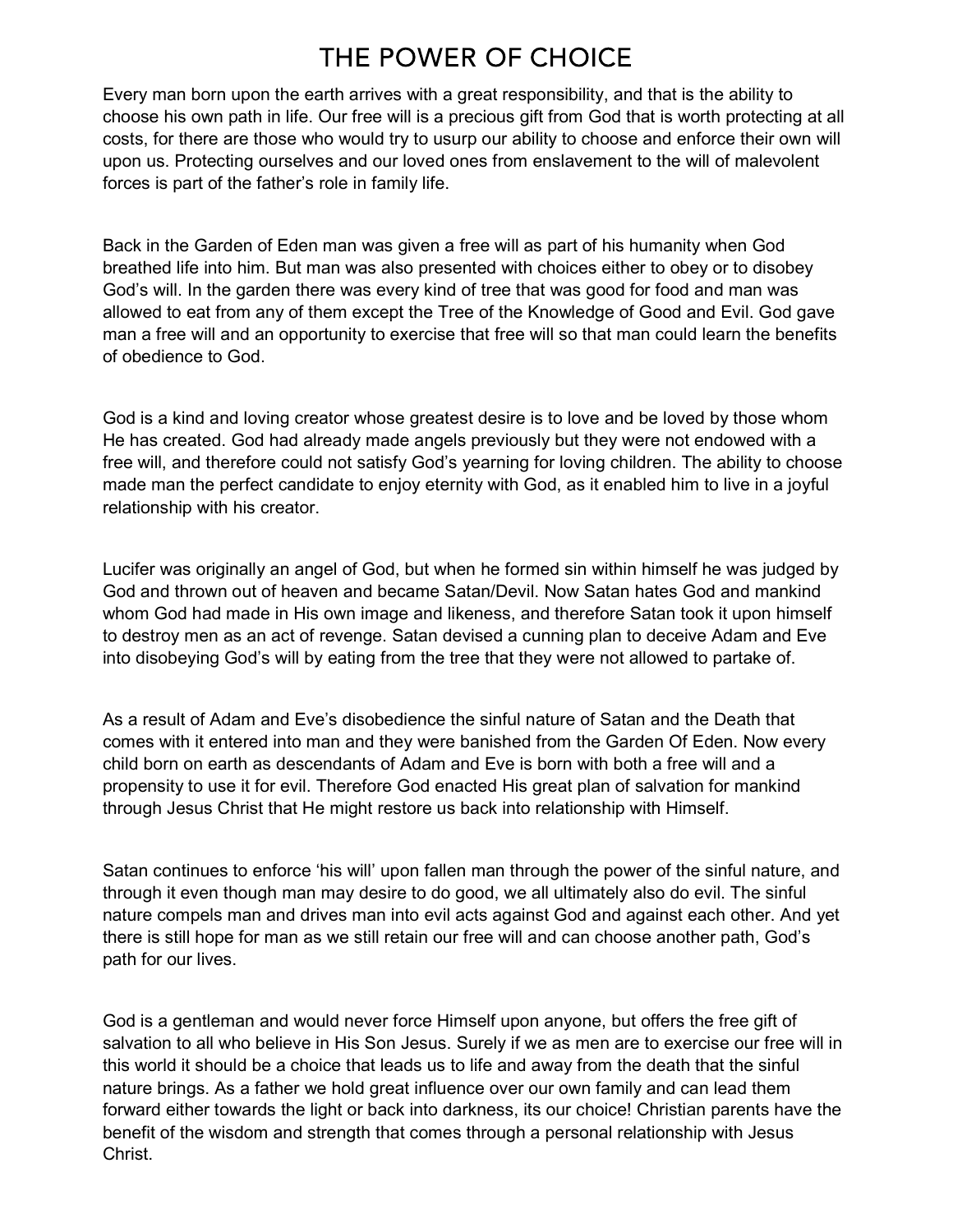# THE POWER OF CHOICE

Every man born upon the earth arrives with a great responsibility, and that is the ability to choose his own path in life. Our free will is a precious gift from God that is worth protecting at all costs, for there are those who would try to usurp our ability to choose and enforce their own will upon us. Protecting ourselves and our loved ones from enslavement to the will of malevolent forces is part of the father's role in family life.

Back in the Garden of Eden man was given a free will as part of his humanity when God breathed life into him. But man was also presented with choices either to obey or to disobey God's will. In the garden there was every kind of tree that was good for food and man was allowed to eat from any of them except the Tree of the Knowledge of Good and Evil. God gave man a free will and an opportunity to exercise that free will so that man could learn the benefits of obedience to God.

God is a kind and loving creator whose greatest desire is to love and be loved by those whom He has created. God had already made angels previously but they were not endowed with a free will, and therefore could not satisfy God's yearning for loving children. The ability to choose made man the perfect candidate to enjoy eternity with God, as it enabled him to live in a joyful relationship with his creator.

Lucifer was originally an angel of God, but when he formed sin within himself he was judged by God and thrown out of heaven and became Satan/Devil. Now Satan hates God and mankind whom God had made in His own image and likeness, and therefore Satan took it upon himself to destroy men as an act of revenge. Satan devised a cunning plan to deceive Adam and Eve into disobeying God's will by eating from the tree that they were not allowed to partake of.

As a result of Adam and Eve's disobedience the sinful nature of Satan and the Death that comes with it entered into man and they were banished from the Garden Of Eden. Now every child born on earth as descendants of Adam and Eve is born with both a free will and a propensity to use it for evil. Therefore God enacted His great plan of salvation for mankind through Jesus Christ that He might restore us back into relationship with Himself.

Satan continues to enforce 'his will' upon fallen man through the power of the sinful nature, and through it even though man may desire to do good, we all ultimately also do evil. The sinful nature compels man and drives man into evil acts against God and against each other. And yet there is still hope for man as we still retain our free will and can choose another path, God's path for our lives.

God is a gentleman and would never force Himself upon anyone, but offers the free gift of salvation to all who believe in His Son Jesus. Surely if we as men are to exercise our free will in this world it should be a choice that leads us to life and away from the death that the sinful nature brings. As a father we hold great influence over our own family and can lead them forward either towards the light or back into darkness, its our choice! Christian parents have the benefit of the wisdom and strength that comes through a personal relationship with Jesus Christ.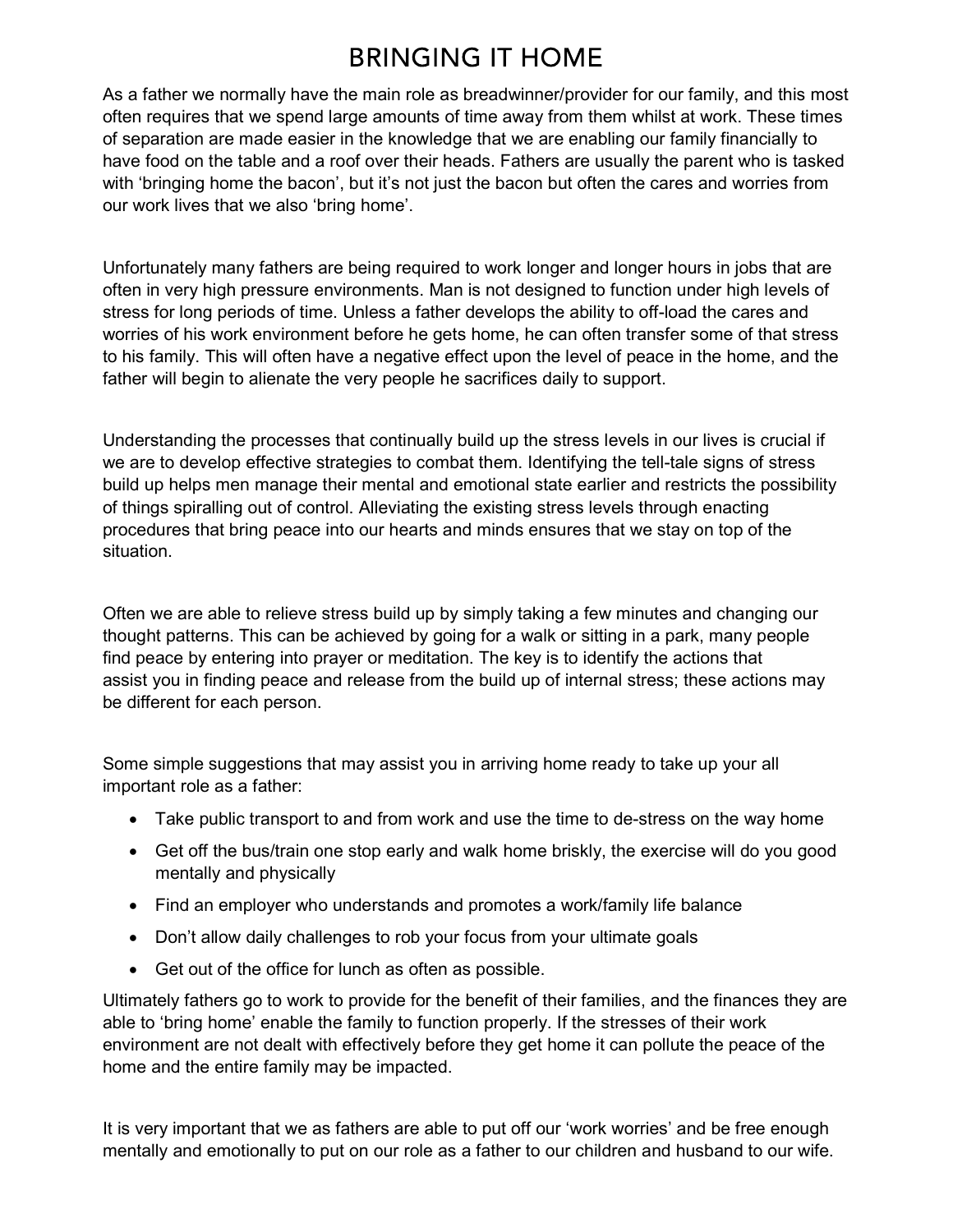## **BRINGING IT HOME**

As a father we normally have the main role as breadwinner/provider for our family, and this most often requires that we spend large amounts of time away from them whilst at work. These times of separation are made easier in the knowledge that we are enabling our family financially to have food on the table and a roof over their heads. Fathers are usually the parent who is tasked with 'bringing home the bacon', but it's not just the bacon but often the cares and worries from our work lives that we also 'bring home'.

Unfortunately many fathers are being required to work longer and longer hours in jobs that are often in very high pressure environments. Man is not designed to function under high levels of stress for long periods of time. Unless a father develops the ability to off-load the cares and worries of his work environment before he gets home, he can often transfer some of that stress to his family. This will often have a negative effect upon the level of peace in the home, and the father will begin to alienate the very people he sacrifices daily to support.

Understanding the processes that continually build up the stress levels in our lives is crucial if we are to develop effective strategies to combat them. Identifying the tell-tale signs of stress build up helps men manage their mental and emotional state earlier and restricts the possibility of things spiralling out of control. Alleviating the existing stress levels through enacting procedures that bring peace into our hearts and minds ensures that we stay on top of the situation.

Often we are able to relieve stress build up by simply taking a few minutes and changing our thought patterns. This can be achieved by going for a walk or sitting in a park, many people find peace by entering into prayer or meditation. The key is to identify the actions that assist you in finding peace and release from the build up of internal stress; these actions may be different for each person.

Some simple suggestions that may assist you in arriving home ready to take up your all important role as a father:

- Take public transport to and from work and use the time to de-stress on the way home
- Get off the bus/train one stop early and walk home briskly, the exercise will do you good mentally and physically
- Find an employer who understands and promotes a work/family life balance
- Don't allow daily challenges to rob your focus from your ultimate goals
- Get out of the office for lunch as often as possible.

Ultimately fathers go to work to provide for the benefit of their families, and the finances they are able to 'bring home' enable the family to function properly. If the stresses of their work environment are not dealt with effectively before they get home it can pollute the peace of the home and the entire family may be impacted.

It is very important that we as fathers are able to put off our 'work worries' and be free enough mentally and emotionally to put on our role as a father to our children and husband to our wife.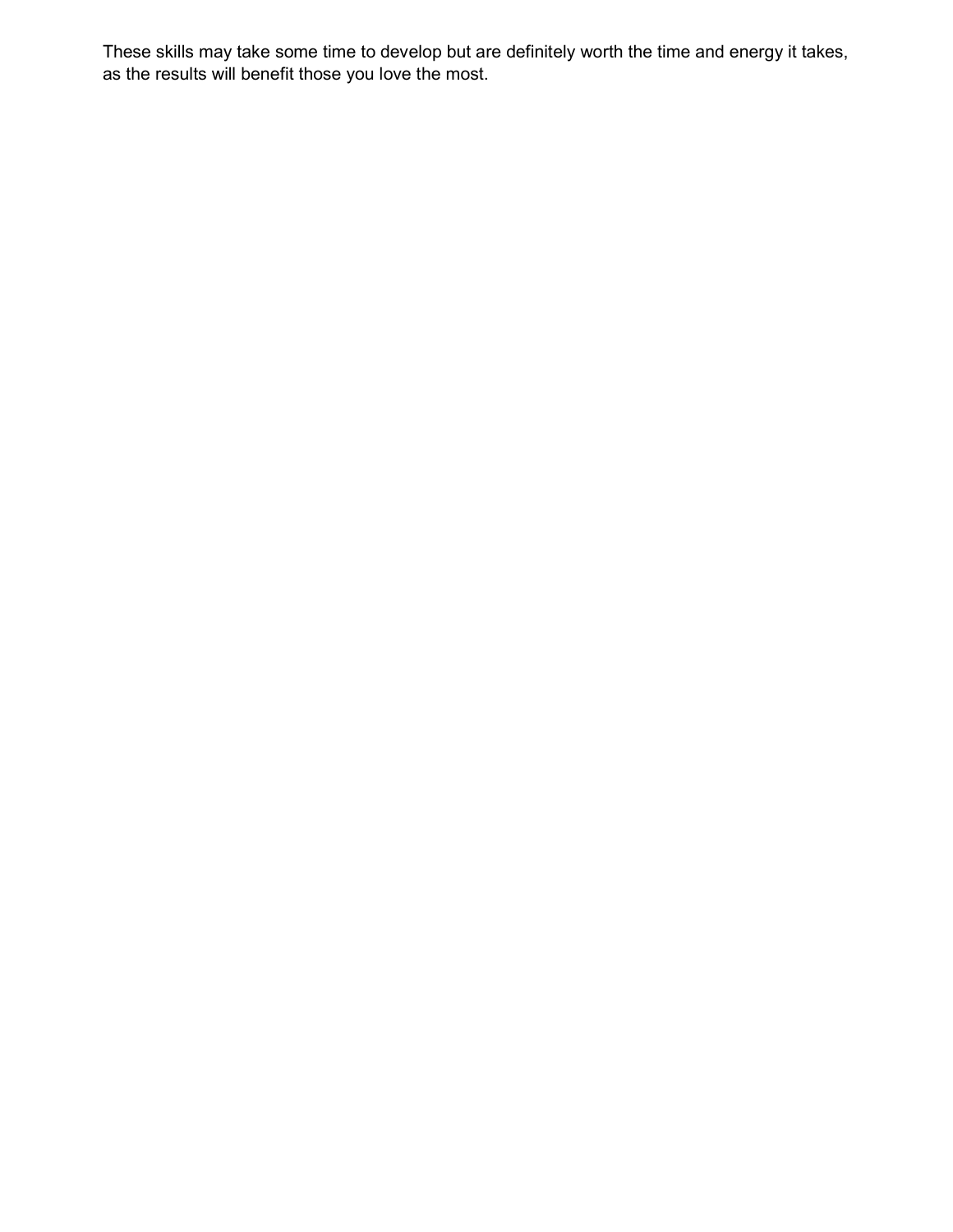These skills may take some time to develop but are definitely worth the time and energy it takes, as the results will benefit those you love the most.